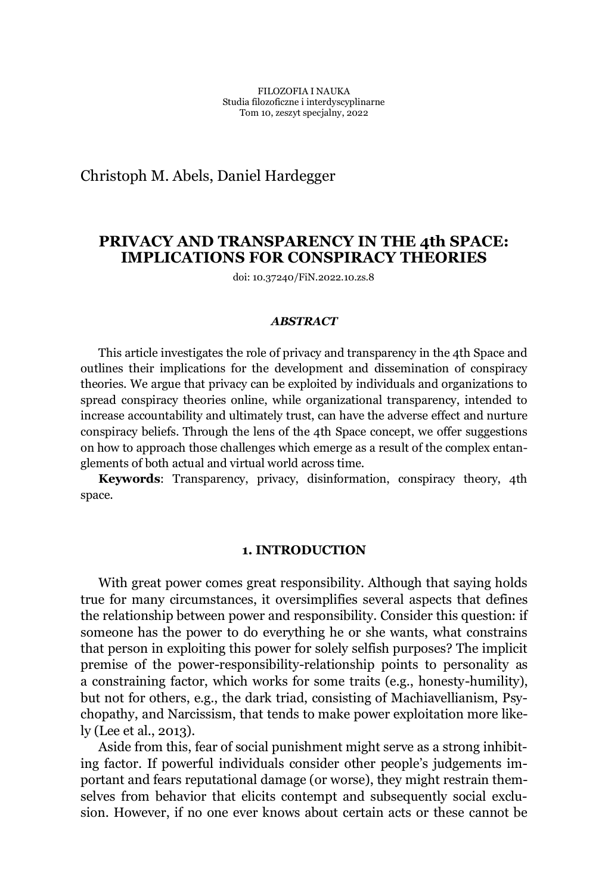Christoph M. Abels, Daniel Hardegger

# **PRIVACY AND TRANSPARENCY IN THE 4th SPACE: IMPLICATIONS FOR CONSPIRACY THEORIES**

doi: 10.37240/FiN.2022.10.zs.8

### *ABSTRACT*

This article investigates the role of privacy and transparency in the 4th Space and outlines their implications for the development and dissemination of conspiracy theories. We argue that privacy can be exploited by individuals and organizations to spread conspiracy theories online, while organizational transparency, intended to increase accountability and ultimately trust, can have the adverse effect and nurture conspiracy beliefs. Through the lens of the 4th Space concept, we offer suggestions on how to approach those challenges which emerge as a result of the complex entanglements of both actual and virtual world across time.

**Keywords**: Transparency, privacy, disinformation, conspiracy theory, 4th space.

## **1. INTRODUCTION**

With great power comes great responsibility. Although that saying holds true for many circumstances, it oversimplifies several aspects that defines the relationship between power and responsibility. Consider this question: if someone has the power to do everything he or she wants, what constrains that person in exploiting this power for solely selfish purposes? The implicit premise of the power-responsibility-relationship points to personality as a constraining factor, which works for some traits (e.g., honesty-humility), but not for others, e.g., the dark triad, consisting of Machiavellianism, Psychopathy, and Narcissism, that tends to make power exploitation more likely (Lee et al., 2013).

Aside from this, fear of social punishment might serve as a strong inhibiting factor. If powerful individuals consider other people's judgements important and fears reputational damage (or worse), they might restrain themselves from behavior that elicits contempt and subsequently social exclusion. However, if no one ever knows about certain acts or these cannot be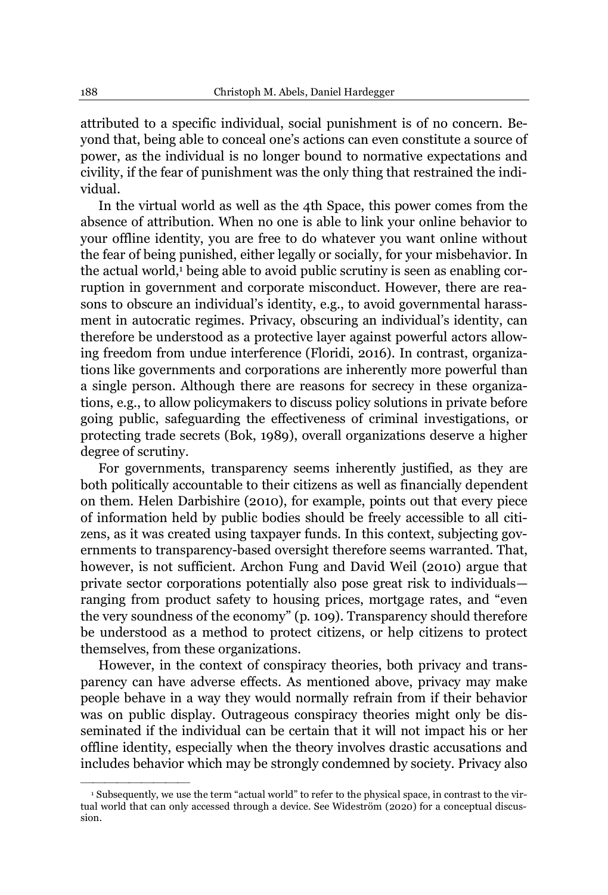attributed to a specific individual, social punishment is of no concern. Beyond that, being able to conceal one's actions can even constitute a source of power, as the individual is no longer bound to normative expectations and civility, if the fear of punishment was the only thing that restrained the individual.

In the virtual world as well as the 4th Space, this power comes from the absence of attribution. When no one is able to link your online behavior to your offline identity, you are free to do whatever you want online without the fear of being punished, either legally or socially, for your misbehavior. In the actual world,<sup>1</sup> being able to avoid public scrutiny is seen as enabling corruption in government and corporate misconduct. However, there are reasons to obscure an individual's identity, e.g., to avoid governmental harassment in autocratic regimes. Privacy, obscuring an individual's identity, can therefore be understood as a protective layer against powerful actors allowing freedom from undue interference (Floridi, 2016). In contrast, organizations like governments and corporations are inherently more powerful than a single person. Although there are reasons for secrecy in these organizations, e.g., to allow policymakers to discuss policy solutions in private before going public, safeguarding the effectiveness of criminal investigations, or protecting trade secrets (Bok, 1989), overall organizations deserve a higher degree of scrutiny.

For governments, transparency seems inherently justified, as they are both politically accountable to their citizens as well as financially dependent on them. Helen Darbishire (2010), for example, points out that every piece of information held by public bodies should be freely accessible to all citizens, as it was created using taxpayer funds. In this context, subjecting governments to transparency-based oversight therefore seems warranted. That, however, is not sufficient. Archon Fung and David Weil (2010) argue that private sector corporations potentially also pose great risk to individuals ranging from product safety to housing prices, mortgage rates, and "even the very soundness of the economy" (p. 109). Transparency should therefore be understood as a method to protect citizens, or help citizens to protect themselves, from these organizations.

However, in the context of conspiracy theories, both privacy and transparency can have adverse effects. As mentioned above, privacy may make people behave in a way they would normally refrain from if their behavior was on public display. Outrageous conspiracy theories might only be disseminated if the individual can be certain that it will not impact his or her offline identity, especially when the theory involves drastic accusations and includes behavior which may be strongly condemned by society. Privacy also

<sup>&</sup>lt;sup>1</sup> Subsequently, we use the term "actual world" to refer to the physical space, in contrast to the virtual world that can only accessed through a device. See Wideström (2020) for a conceptual discussion.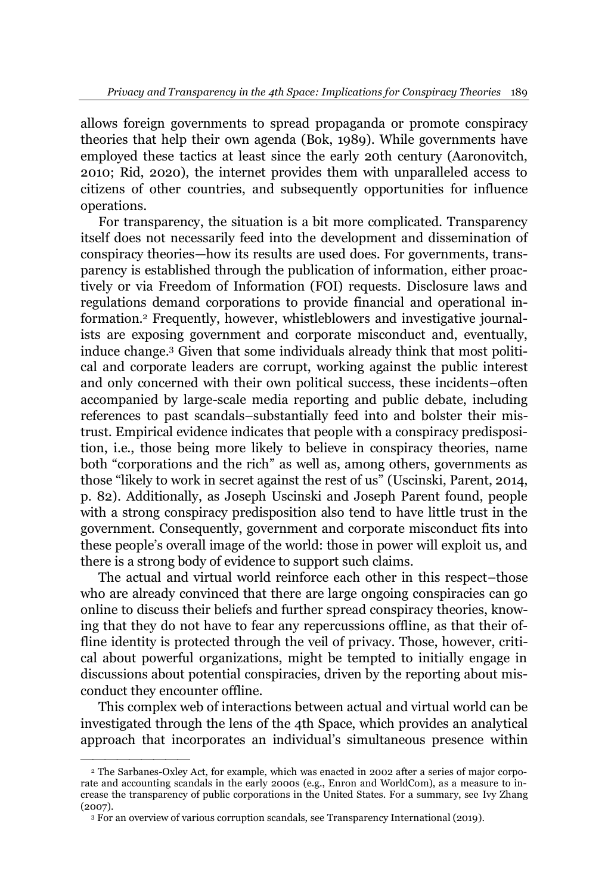allows foreign governments to spread propaganda or promote conspiracy theories that help their own agenda (Bok, 1989). While governments have employed these tactics at least since the early 20th century (Aaronovitch, 2010; Rid, 2020), the internet provides them with unparalleled access to citizens of other countries, and subsequently opportunities for influence operations.

For transparency, the situation is a bit more complicated. Transparency itself does not necessarily feed into the development and dissemination of conspiracy theories—how its results are used does. For governments, transparency is established through the publication of information, either proactively or via Freedom of Information (FOI) requests. Disclosure laws and regulations demand corporations to provide financial and operational information.2 Frequently, however, whistleblowers and investigative journalists are exposing government and corporate misconduct and, eventually, induce change.3 Given that some individuals already think that most political and corporate leaders are corrupt, working against the public interest and only concerned with their own political success, these incidents-often accompanied by large-scale media reporting and public debate, including references to past scandals-substantially feed into and bolster their mistrust. Empirical evidence indicates that people with a conspiracy predisposition, i.e., those being more likely to believe in conspiracy theories, name both "corporations and the rich" as well as, among others, governments as those "likely to work in secret against the rest of us" (Uscinski, Parent, 2014, p. 82). Additionally, as Joseph Uscinski and Joseph Parent found, people with a strong conspiracy predisposition also tend to have little trust in the government. Consequently, government and corporate misconduct fits into these people's overall image of the world: those in power will exploit us, and there is a strong body of evidence to support such claims.

The actual and virtual world reinforce each other in this respect-those who are already convinced that there are large ongoing conspiracies can go online to discuss their beliefs and further spread conspiracy theories, knowing that they do not have to fear any repercussions offline, as that their offline identity is protected through the veil of privacy. Those, however, critical about powerful organizations, might be tempted to initially engage in discussions about potential conspiracies, driven by the reporting about misconduct they encounter offline.

This complex web of interactions between actual and virtual world can be investigated through the lens of the 4th Space, which provides an analytical approach that incorporates an individual's simultaneous presence within

<sup>2</sup> The Sarbanes-Oxley Act, for example, which was enacted in 2002 after a series of major corporate and accounting scandals in the early 2000s (e.g., Enron and WorldCom), as a measure to increase the transparency of public corporations in the United States. For a summary, see Ivy Zhang (2007).

<sup>3</sup> For an overview of various corruption scandals, see Transparency International (2019).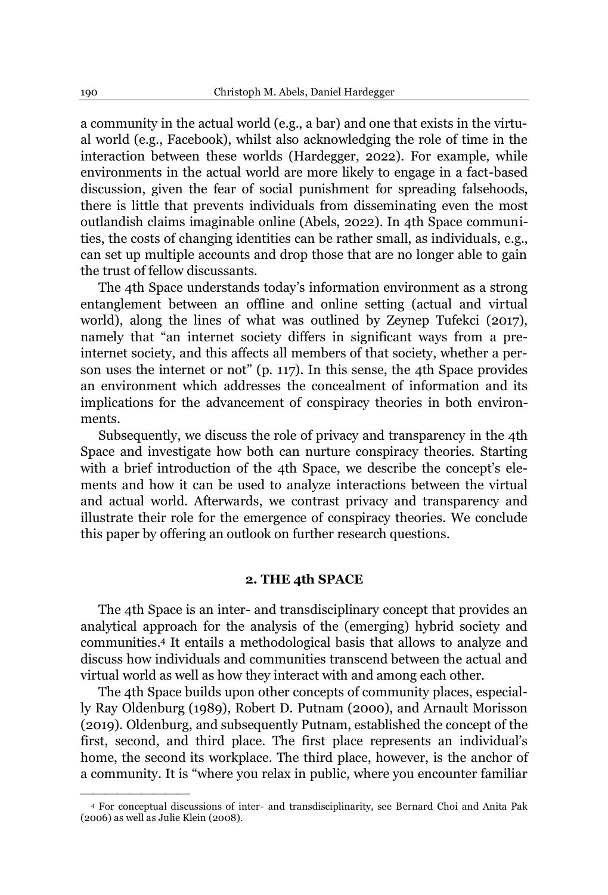a community in the actual world (e.g., a bar) and one that exists in the virtual world (e.g., Facebook), whilst also acknowledging the role of time in the interaction between these worlds (Hardegger, 2022). For example, while environments in the actual world are more likely to engage in a fact-based discussion, given the fear of social punishment for spreading falsehoods, there is little that prevents individuals from disseminating even the most outlandish claims imaginable online (Abels, 2022). In 4th Space communities, the costs of changing identities can be rather small, as individuals, e.g., can set up multiple accounts and drop those that are no longer able to gain the trust of fellow discussants.

The 4th Space understands today's information environment as a strong entanglement between an offline and online setting (actual and virtual world), along the lines of what was outlined by Zeynep Tufekci (2017), namely that "an internet society differs in significant ways from a preinternet society, and this affects all members of that society, whether a person uses the internet or not" (p. 117). In this sense, the 4th Space provides an environment which addresses the concealment of information and its implications for the advancement of conspiracy theories in both environments.

Subsequently, we discuss the role of privacy and transparency in the 4th Space and investigate how both can nurture conspiracy theories. Starting with a brief introduction of the 4th Space, we describe the concept's elements and how it can be used to analyze interactions between the virtual and actual world. Afterwards, we contrast privacy and transparency and illustrate their role for the emergence of conspiracy theories. We conclude this paper by offering an outlook on further research questions.

## **2. THE 4th SPACE**

The 4th Space is an inter- and transdisciplinary concept that provides an analytical approach for the analysis of the (emerging) hybrid society and communities.4 It entails a methodological basis that allows to analyze and discuss how individuals and communities transcend between the actual and virtual world as well as how they interact with and among each other.

The 4th Space builds upon other concepts of community places, especially Ray Oldenburg (1989), Robert D. Putnam (2000), and Arnault Morisson (2019). Oldenburg, and subsequently Putnam, established the concept of the first, second, and third place. The first place represents an individual's home, the second its workplace. The third place, however, is the anchor of a community. It is "where you relax in public, where you encounter familiar

<sup>4</sup> For conceptual discussions of inter- and transdisciplinarity, see Bernard Choi and Anita Pak (2006) as well as Julie Klein (2008).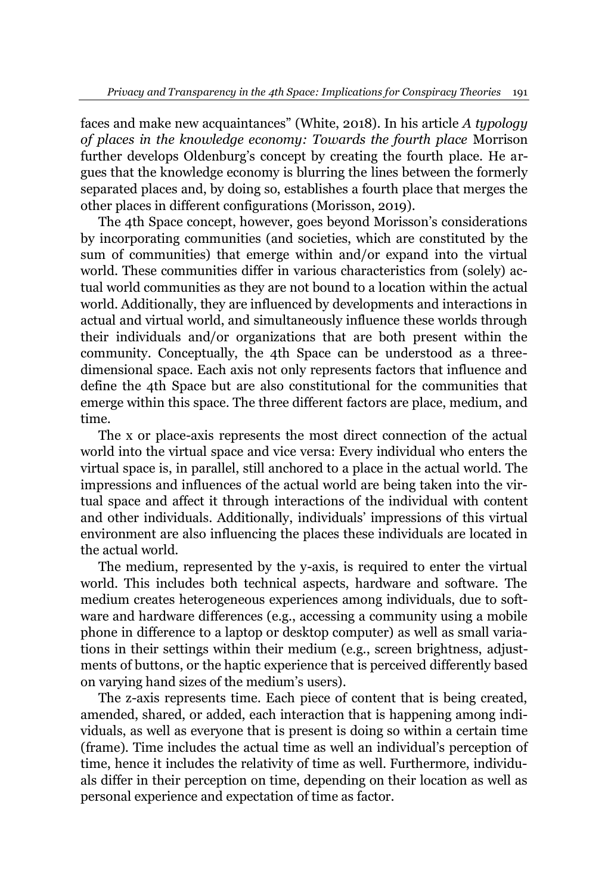faces and make new acquaintances" (White, 2018). In his article *A typology of places in the knowledge economy: Towards the fourth place* Morrison further develops Oldenburg's concept by creating the fourth place. He argues that the knowledge economy is blurring the lines between the formerly separated places and, by doing so, establishes a fourth place that merges the other places in different configurations (Morisson, 2019).

The 4th Space concept, however, goes beyond Morisson's considerations by incorporating communities (and societies, which are constituted by the sum of communities) that emerge within and/or expand into the virtual world. These communities differ in various characteristics from (solely) actual world communities as they are not bound to a location within the actual world. Additionally, they are influenced by developments and interactions in actual and virtual world, and simultaneously influence these worlds through their individuals and/or organizations that are both present within the community. Conceptually, the 4th Space can be understood as a threedimensional space. Each axis not only represents factors that influence and define the 4th Space but are also constitutional for the communities that emerge within this space. The three different factors are place, medium, and time.

The x or place-axis represents the most direct connection of the actual world into the virtual space and vice versa: Every individual who enters the virtual space is, in parallel, still anchored to a place in the actual world. The impressions and influences of the actual world are being taken into the virtual space and affect it through interactions of the individual with content and other individuals. Additionally, individuals' impressions of this virtual environment are also influencing the places these individuals are located in the actual world.

The medium, represented by the y-axis, is required to enter the virtual world. This includes both technical aspects, hardware and software. The medium creates heterogeneous experiences among individuals, due to software and hardware differences (e.g., accessing a community using a mobile phone in difference to a laptop or desktop computer) as well as small variations in their settings within their medium (e.g., screen brightness, adjustments of buttons, or the haptic experience that is perceived differently based on varying hand sizes of the medium's users).

The z-axis represents time. Each piece of content that is being created, amended, shared, or added, each interaction that is happening among individuals, as well as everyone that is present is doing so within a certain time (frame). Time includes the actual time as well an individual's perception of time, hence it includes the relativity of time as well. Furthermore, individuals differ in their perception on time, depending on their location as well as personal experience and expectation of time as factor.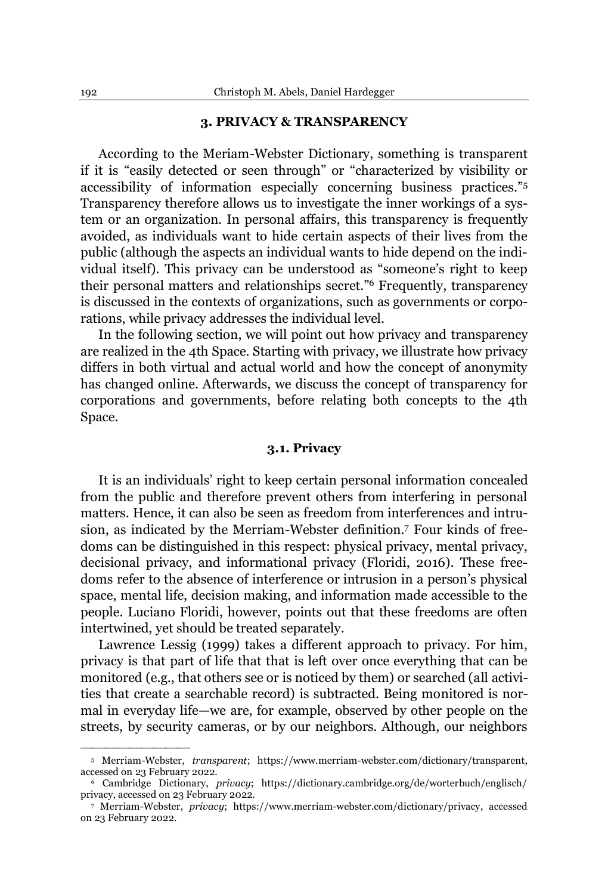## **3. PRIVACY & TRANSPARENCY**

According to the Meriam-Webster Dictionary, something is transparent If it is "easily detected or seen through" or "characterized by visibility or accessibility of information especially concerning business practices."<sup>5</sup> Transparency therefore allows us to investigate the inner workings of a system or an organization. In personal affairs, this transparency is frequently avoided, as individuals want to hide certain aspects of their lives from the public (although the aspects an individual wants to hide depend on the individual itself). This privacy can be understood as "someone's right to keep their personal matters and relationships secret."<sup>6</sup> Frequently, transparency is discussed in the contexts of organizations, such as governments or corporations, while privacy addresses the individual level.

In the following section, we will point out how privacy and transparency are realized in the 4th Space. Starting with privacy, we illustrate how privacy differs in both virtual and actual world and how the concept of anonymity has changed online. Afterwards, we discuss the concept of transparency for corporations and governments, before relating both concepts to the 4th Space.

## **3.1. Privacy**

It is an individuals' right to keep certain personal information concealed from the public and therefore prevent others from interfering in personal matters. Hence, it can also be seen as freedom from interferences and intrusion, as indicated by the Merriam-Webster definition.7 Four kinds of freedoms can be distinguished in this respect: physical privacy, mental privacy, decisional privacy, and informational privacy (Floridi, 2016). These freedoms refer to the absence of interference or intrusion in a person's physical space, mental life, decision making, and information made accessible to the people. Luciano Floridi, however, points out that these freedoms are often intertwined, yet should be treated separately.

Lawrence Lessig (1999) takes a different approach to privacy. For him, privacy is that part of life that that is left over once everything that can be monitored (e.g., that others see or is noticed by them) or searched (all activities that create a searchable record) is subtracted. Being monitored is normal in everyday life—we are, for example, observed by other people on the streets, by security cameras, or by our neighbors. Although, our neighbors

<sup>5</sup> Merriam-Webster, *transparent*; [https://www.merriam-webster.com/dictionary/transparent,](https://www.merriam-webster.com/dictionary/transparent) accessed on 23 February 2022.

<sup>6</sup> Cambridge Dictionary, *privacy*; [https://dictionary.cambridge.org/de/worterbuch/englisch/](https://dictionary.cambridge.org/de/worterbuch/englisch/privacy) [privacy,](https://dictionary.cambridge.org/de/worterbuch/englisch/privacy) accessed on 23 February 2022.

<sup>7</sup> Merriam-Webster, *privacy*; [https://www.merriam-webster.com/dictionary/privacy,](https://www.merriam-webster.com/dictionary/privacy) accessed on 23 February 2022.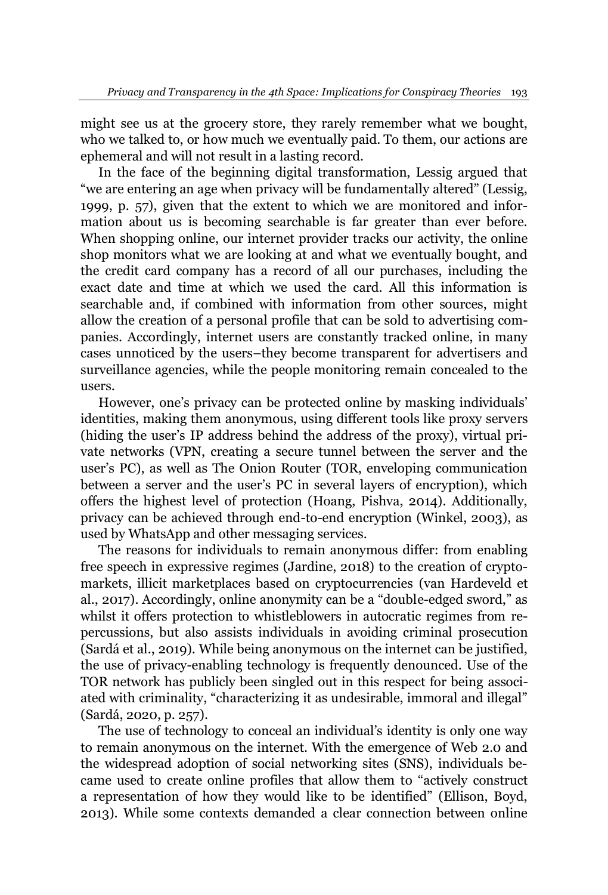might see us at the grocery store, they rarely remember what we bought, who we talked to, or how much we eventually paid. To them, our actions are ephemeral and will not result in a lasting record.

In the face of the beginning digital transformation, Lessig argued that "we are entering an age when privacy will be fundamentally altered" (Lessig, 1999, p. 57), given that the extent to which we are monitored and information about us is becoming searchable is far greater than ever before. When shopping online, our internet provider tracks our activity, the online shop monitors what we are looking at and what we eventually bought, and the credit card company has a record of all our purchases, including the exact date and time at which we used the card. All this information is searchable and, if combined with information from other sources, might allow the creation of a personal profile that can be sold to advertising companies. Accordingly, internet users are constantly tracked online, in many cases unnoticed by the users-they become transparent for advertisers and surveillance agencies, while the people monitoring remain concealed to the users.

However, one's privacy can be protected online by masking individuals' identities, making them anonymous, using different tools like proxy servers (hiding the user's IP address behind the address of the proxy), virtual private networks (VPN, creating a secure tunnel between the server and the user's PC), as well as The Onion Router (TOR, enveloping communication between a server and the user's PC in several layers of encryption), which offers the highest level of protection (Hoang, Pishva, 2014). Additionally, privacy can be achieved through end-to-end encryption (Winkel, 2003), as used by WhatsApp and other messaging services.

The reasons for individuals to remain anonymous differ: from enabling free speech in expressive regimes (Jardine, 2018) to the creation of cryptomarkets, illicit marketplaces based on cryptocurrencies (van Hardeveld et al., 2017). Accordingly, online anonymity can be a "double-edged sword," as whilst it offers protection to whistleblowers in autocratic regimes from repercussions, but also assists individuals in avoiding criminal prosecution  $S(\text{Sardá et al., 2019})$ . While being anonymous on the internet can be justified, the use of privacy-enabling technology is frequently denounced. Use of the TOR network has publicly been singled out in this respect for being associated with criminality, "characterizing it as undesirable, immoral and illegal" (Sardá, 2020, p. 257).

The use of technology to conceal an individual's identity is only one way to remain anonymous on the internet. With the emergence of Web 2.0 and the widespread adoption of social networking sites (SNS), individuals became used to create online profiles that allow them to "actively construct" a representation of how they would like to be identified" (Ellison, Boyd, 2013). While some contexts demanded a clear connection between online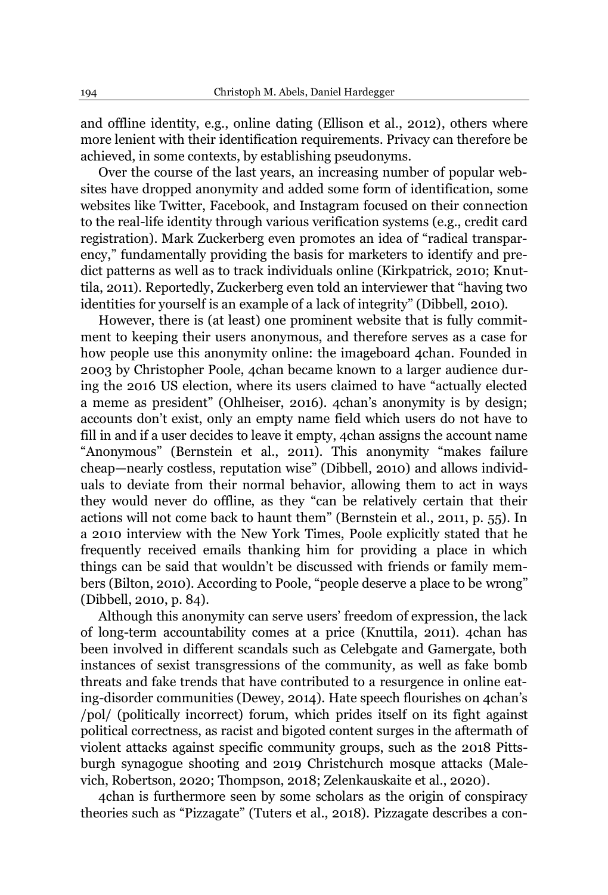and offline identity, e.g., online dating (Ellison et al., 2012), others where more lenient with their identification requirements. Privacy can therefore be achieved, in some contexts, by establishing pseudonyms.

Over the course of the last years, an increasing number of popular websites have dropped anonymity and added some form of identification, some websites like Twitter, Facebook, and Instagram focused on their connection to the real-life identity through various verification systems (e.g., credit card registration). Mark Zuckerberg even promotes an idea of "radical transparency," fundamentally providing the basis for marketers to identify and predict patterns as well as to track individuals online (Kirkpatrick, 2010; Knuttila, 2011). Reportedly, Zuckerberg even told an interviewer that "having two identities for yourself is an example of a lack of integrity" (Dibbell, 2010).

However, there is (at least) one prominent website that is fully commitment to keeping their users anonymous, and therefore serves as a case for how people use this anonymity online: the imageboard 4chan. Founded in 2003 by Christopher Poole, 4chan became known to a larger audience during the 2016 US election, where its users claimed to have "actually elected a meme as president" (Ohlheiser, 2016). 4chan's anonymity is by design; accounts don't exist, only an empty name field which users do not have to fill in and if a user decides to leave it empty, 4chan assigns the account name "Anonymous" (Bernstein et al., 2011). This anonymity "makes failure cheap—nearly costless, reputation wise" (Dibbell, 2010) and allows individuals to deviate from their normal behavior, allowing them to act in ways they would never do offline, as they "can be relatively certain that their actions will not come back to haunt them" (Bernstein et al., 2011, p.  $55$ ). In a 2010 interview with the New York Times, Poole explicitly stated that he frequently received emails thanking him for providing a place in which things can be said that wouldn't be discussed with friends or family members (Bilton, 2010). According to Poole, "people deserve a place to be wrong" (Dibbell, 2010, p. 84).

Although this anonymity can serve users' freedom of expression, the lack of long-term accountability comes at a price (Knuttila, 2011). 4chan has been involved in different scandals such as Celebgate and Gamergate, both instances of sexist transgressions of the community, as well as fake bomb threats and fake trends that have contributed to a resurgence in online eating-disorder communities (Dewey, 2014). Hate speech flourishes on 4chan's /pol/ (politically incorrect) forum, which prides itself on its fight against political correctness, as racist and bigoted content surges in the aftermath of violent attacks against specific community groups, such as the 2018 Pittsburgh synagogue shooting and 2019 Christchurch mosque attacks (Malevich, Robertson, 2020; Thompson, 2018; Zelenkauskaite et al., 2020).

4chan is furthermore seen by some scholars as the origin of conspiracy theories such as "Pizzagate" (Tuters et al., 2018). Pizzagate describes a con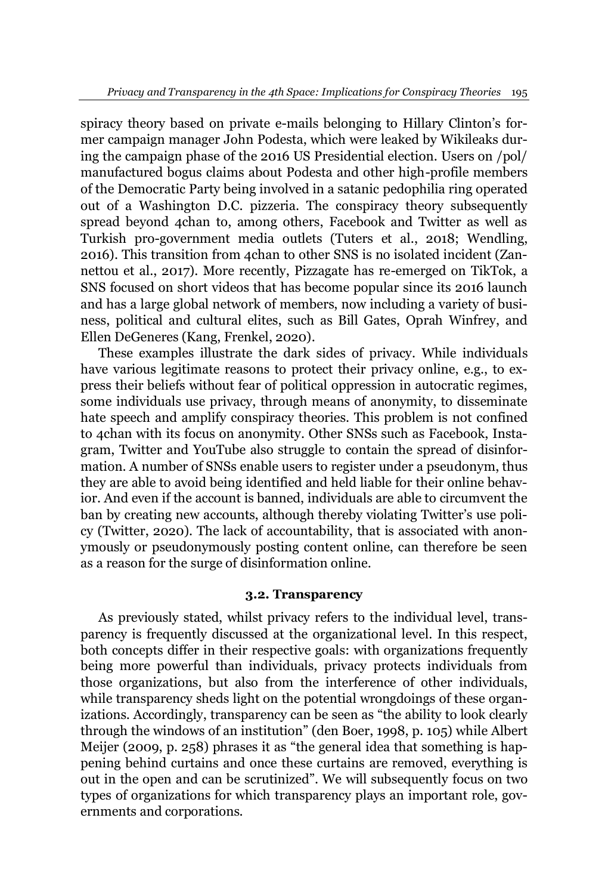spiracy theory based on private e-mails belonging to Hillary Clinton's former campaign manager John Podesta, which were leaked by Wikileaks during the campaign phase of the 2016 US Presidential election. Users on /pol/ manufactured bogus claims about Podesta and other high-profile members of the Democratic Party being involved in a satanic pedophilia ring operated out of a Washington D.C. pizzeria. The conspiracy theory subsequently spread beyond 4chan to, among others, Facebook and Twitter as well as Turkish pro-government media outlets (Tuters et al., 2018; Wendling, 2016). This transition from 4chan to other SNS is no isolated incident (Zannettou et al., 2017). More recently, Pizzagate has re-emerged on TikTok, a SNS focused on short videos that has become popular since its 2016 launch and has a large global network of members, now including a variety of business, political and cultural elites, such as Bill Gates, Oprah Winfrey, and Ellen DeGeneres (Kang, Frenkel, 2020).

These examples illustrate the dark sides of privacy. While individuals have various legitimate reasons to protect their privacy online, e.g., to express their beliefs without fear of political oppression in autocratic regimes, some individuals use privacy, through means of anonymity, to disseminate hate speech and amplify conspiracy theories. This problem is not confined to 4chan with its focus on anonymity. Other SNSs such as Facebook, Instagram, Twitter and YouTube also struggle to contain the spread of disinformation. A number of SNSs enable users to register under a pseudonym, thus they are able to avoid being identified and held liable for their online behavior. And even if the account is banned, individuals are able to circumvent the ban by creating new accounts, although thereby violating Twitter's use policy (Twitter, 2020). The lack of accountability, that is associated with anonymously or pseudonymously posting content online, can therefore be seen as a reason for the surge of disinformation online.

## **3.2. Transparency**

As previously stated, whilst privacy refers to the individual level, transparency is frequently discussed at the organizational level. In this respect, both concepts differ in their respective goals: with organizations frequently being more powerful than individuals, privacy protects individuals from those organizations, but also from the interference of other individuals, while transparency sheds light on the potential wrongdoings of these organizations. Accordingly, transparency can be seen as "the ability to look clearly through the windows of an institution" (den Boer, 1998, p. 105) while Albert Meijer (2009, p. 258) phrases it as "the general idea that something is happening behind curtains and once these curtains are removed, everything is out in the open and can be scrutinized". We will subsequently focus on two types of organizations for which transparency plays an important role, governments and corporations.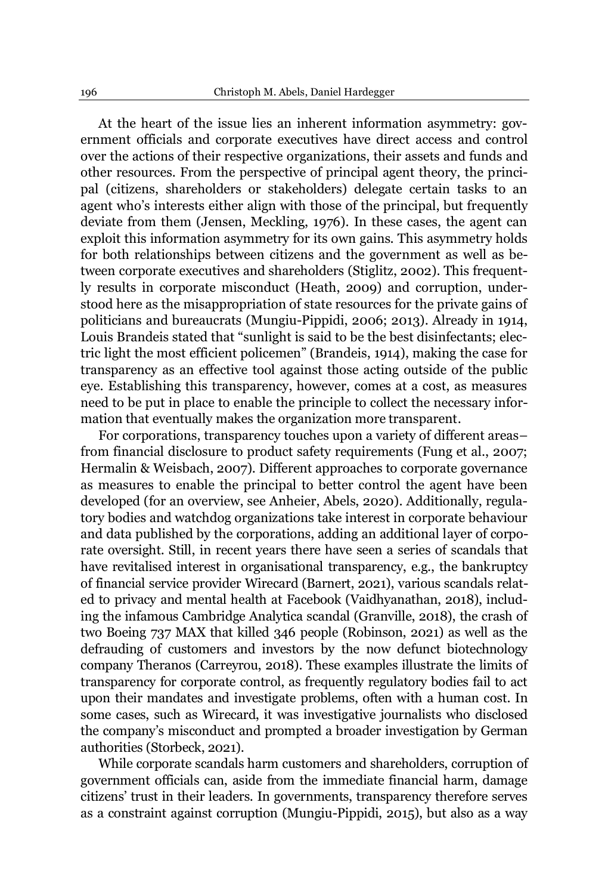At the heart of the issue lies an inherent information asymmetry: government officials and corporate executives have direct access and control over the actions of their respective organizations, their assets and funds and other resources. From the perspective of principal agent theory, the principal (citizens, shareholders or stakeholders) delegate certain tasks to an agent who's interests either align with those of the principal, but frequently deviate from them (Jensen, Meckling, 1976). In these cases, the agent can exploit this information asymmetry for its own gains. This asymmetry holds for both relationships between citizens and the government as well as between corporate executives and shareholders (Stiglitz, 2002). This frequently results in corporate misconduct (Heath, 2009) and corruption, understood here as the misappropriation of state resources for the private gains of politicians and bureaucrats (Mungiu-Pippidi, 2006; 2013). Already in 1914, Louis Brandeis stated that "sunlight is said to be the best disinfectants; electric light the most efficient policemen" (Brandeis, 1914), making the case for transparency as an effective tool against those acting outside of the public eye. Establishing this transparency, however, comes at a cost, as measures need to be put in place to enable the principle to collect the necessary information that eventually makes the organization more transparent.

For corporations, transparency touches upon a variety of different areasfrom financial disclosure to product safety requirements (Fung et al., 2007; Hermalin & Weisbach, 2007). Different approaches to corporate governance as measures to enable the principal to better control the agent have been developed (for an overview, see Anheier, Abels, 2020). Additionally, regulatory bodies and watchdog organizations take interest in corporate behaviour and data published by the corporations, adding an additional layer of corporate oversight. Still, in recent years there have seen a series of scandals that have revitalised interest in organisational transparency, e.g., the bankruptcy of financial service provider Wirecard (Barnert, 2021), various scandals related to privacy and mental health at Facebook (Vaidhyanathan, 2018), including the infamous Cambridge Analytica scandal (Granville, 2018), the crash of two Boeing 737 MAX that killed 346 people (Robinson, 2021) as well as the defrauding of customers and investors by the now defunct biotechnology company Theranos (Carreyrou, 2018). These examples illustrate the limits of transparency for corporate control, as frequently regulatory bodies fail to act upon their mandates and investigate problems, often with a human cost. In some cases, such as Wirecard, it was investigative journalists who disclosed the company's misconduct and prompted a broader investigation by German authorities (Storbeck, 2021).

While corporate scandals harm customers and shareholders, corruption of government officials can, aside from the immediate financial harm, damage citizens' trust in their leaders. In governments, transparency therefore serves as a constraint against corruption (Mungiu-Pippidi, 2015), but also as a way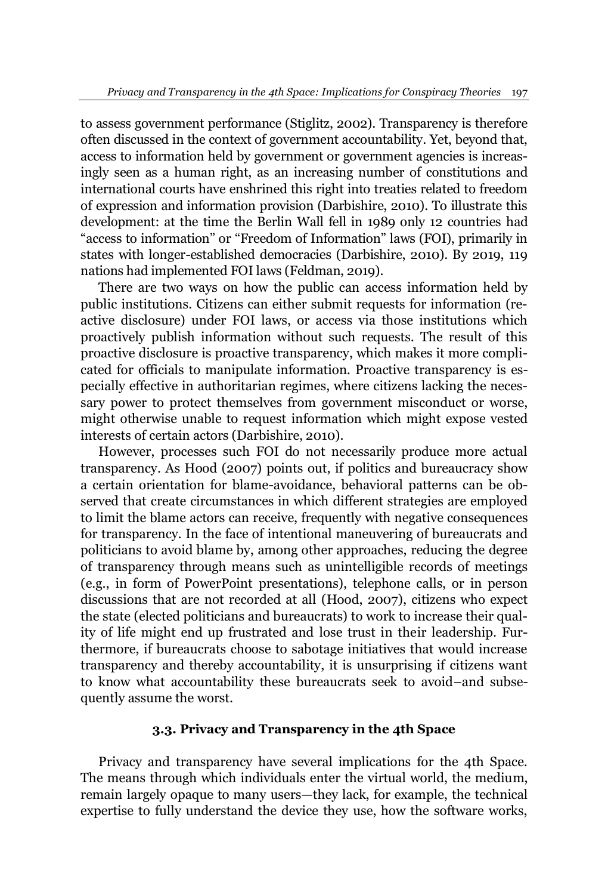to assess government performance (Stiglitz, 2002). Transparency is therefore often discussed in the context of government accountability. Yet, beyond that, access to information held by government or government agencies is increasingly seen as a human right, as an increasing number of constitutions and international courts have enshrined this right into treaties related to freedom of expression and information provision (Darbishire, 2010). To illustrate this development: at the time the Berlin Wall fell in 1989 only 12 countries had "access to information" or "Freedom of Information" laws (FOI), primarily in states with longer-established democracies (Darbishire, 2010). By 2019, 119 nations had implemented FOI laws (Feldman, 2019).

There are two ways on how the public can access information held by public institutions. Citizens can either submit requests for information (reactive disclosure) under FOI laws, or access via those institutions which proactively publish information without such requests. The result of this proactive disclosure is proactive transparency, which makes it more complicated for officials to manipulate information. Proactive transparency is especially effective in authoritarian regimes, where citizens lacking the necessary power to protect themselves from government misconduct or worse, might otherwise unable to request information which might expose vested interests of certain actors (Darbishire, 2010).

However, processes such FOI do not necessarily produce more actual transparency. As Hood (2007) points out, if politics and bureaucracy show a certain orientation for blame-avoidance, behavioral patterns can be observed that create circumstances in which different strategies are employed to limit the blame actors can receive, frequently with negative consequences for transparency. In the face of intentional maneuvering of bureaucrats and politicians to avoid blame by, among other approaches, reducing the degree of transparency through means such as unintelligible records of meetings (e.g., in form of PowerPoint presentations), telephone calls, or in person discussions that are not recorded at all (Hood, 2007), citizens who expect the state (elected politicians and bureaucrats) to work to increase their quality of life might end up frustrated and lose trust in their leadership. Furthermore, if bureaucrats choose to sabotage initiatives that would increase transparency and thereby accountability, it is unsurprising if citizens want to know what accountability these bureaucrats seek to avoid-and subsequently assume the worst.

## **3.3. Privacy and Transparency in the 4th Space**

Privacy and transparency have several implications for the 4th Space. The means through which individuals enter the virtual world, the medium, remain largely opaque to many users—they lack, for example, the technical expertise to fully understand the device they use, how the software works,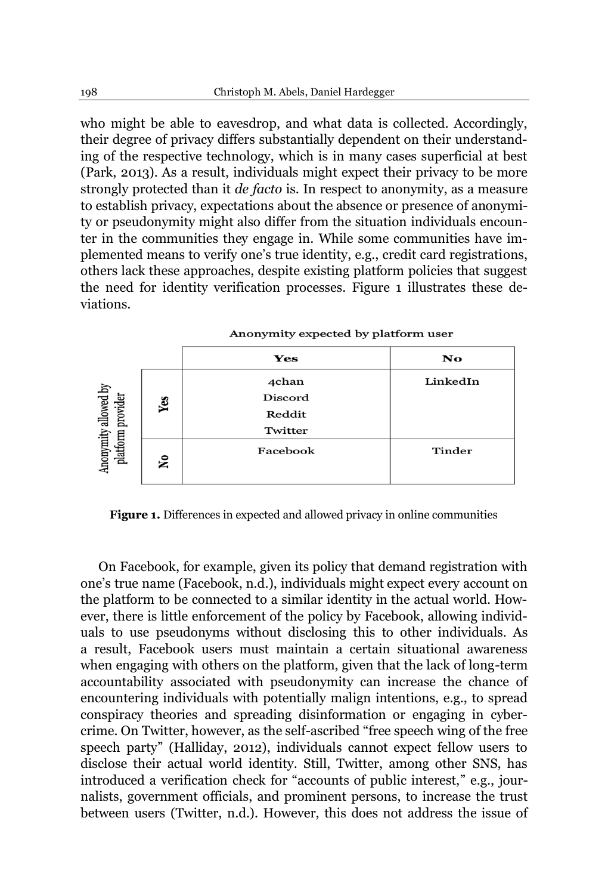who might be able to eavesdrop, and what data is collected. Accordingly, their degree of privacy differs substantially dependent on their understanding of the respective technology, which is in many cases superficial at best (Park, 2013). As a result, individuals might expect their privacy to be more strongly protected than it *de facto* is. In respect to anonymity, as a measure to establish privacy, expectations about the absence or presence of anonymity or pseudonymity might also differ from the situation individuals encounter in the communities they engage in. While some communities have implemented means to verify one's true identity, e.g., credit card registrations, others lack these approaches, despite existing platform policies that suggest the need for identity verification processes. Figure 1 illustrates these deviations.

|                                           |     | Yes      | No       |  |
|-------------------------------------------|-----|----------|----------|--|
| Anonymity allowed by<br>platform provider | Yes | 4chan    | LinkedIn |  |
|                                           |     | Discord  |          |  |
|                                           |     | Reddit   |          |  |
|                                           |     | Twitter  |          |  |
|                                           | ۶Ç  | Facebook | Tinder   |  |
|                                           |     |          |          |  |

#### Anonymity expected by platform user

**Figure 1.** Differences in expected and allowed privacy in online communities

On Facebook, for example, given its policy that demand registration with one's true name (Facebook, n.d.), individuals might expect every account on the platform to be connected to a similar identity in the actual world. However, there is little enforcement of the policy by Facebook, allowing individuals to use pseudonyms without disclosing this to other individuals. As a result, Facebook users must maintain a certain situational awareness when engaging with others on the platform, given that the lack of long-term accountability associated with pseudonymity can increase the chance of encountering individuals with potentially malign intentions, e.g., to spread conspiracy theories and spreading disinformation or engaging in cybercrime. On Twitter, however, as the self-ascribed "free speech wing of the free speech party" (Halliday, 2012), individuals cannot expect fellow users to disclose their actual world identity. Still, Twitter, among other SNS, has introduced a verification check for "accounts of public interest," e.g., journalists, government officials, and prominent persons, to increase the trust between users (Twitter, n.d.). However, this does not address the issue of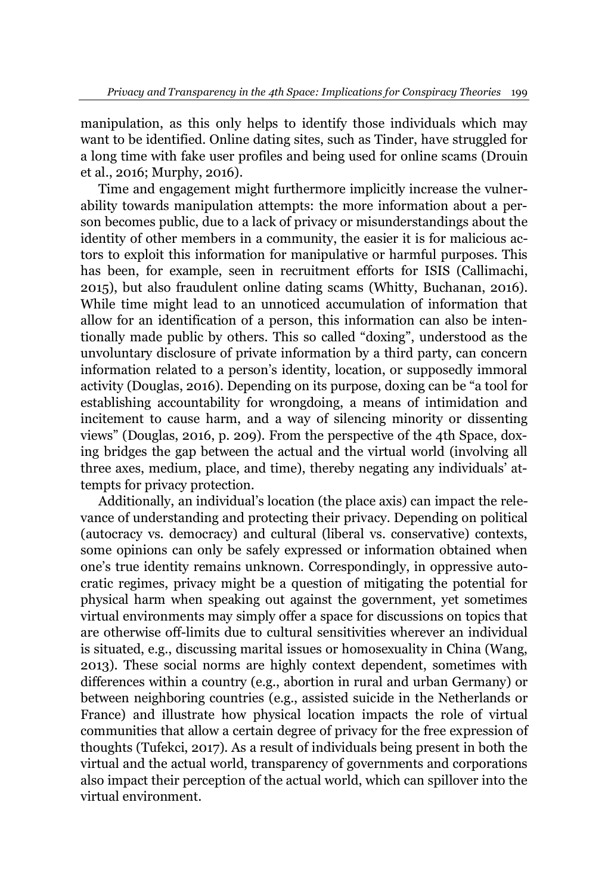manipulation, as this only helps to identify those individuals which may want to be identified. Online dating sites, such as Tinder, have struggled for a long time with fake user profiles and being used for online scams (Drouin et al., 2016; Murphy, 2016).

Time and engagement might furthermore implicitly increase the vulnerability towards manipulation attempts: the more information about a person becomes public, due to a lack of privacy or misunderstandings about the identity of other members in a community, the easier it is for malicious actors to exploit this information for manipulative or harmful purposes. This has been, for example, seen in recruitment efforts for ISIS (Callimachi, 2015), but also fraudulent online dating scams (Whitty, Buchanan, 2016). While time might lead to an unnoticed accumulation of information that allow for an identification of a person, this information can also be intentionally made public by others. This so called "doxing", understood as the unvoluntary disclosure of private information by a third party, can concern information related to a person's identity, location, or supposedly immoral activity (Douglas, 2016). Depending on its purpose, doxing can be "a tool for establishing accountability for wrongdoing, a means of intimidation and incitement to cause harm, and a way of silencing minority or dissenting views" (Douglas, 2016, p. 209). From the perspective of the 4th Space, doxing bridges the gap between the actual and the virtual world (involving all three axes, medium, place, and time), thereby negating any individuals' attempts for privacy protection.

Additionally, an individual's location (the place axis) can impact the relevance of understanding and protecting their privacy. Depending on political (autocracy vs. democracy) and cultural (liberal vs. conservative) contexts, some opinions can only be safely expressed or information obtained when one's true identity remains unknown. Correspondingly, in oppressive autocratic regimes, privacy might be a question of mitigating the potential for physical harm when speaking out against the government, yet sometimes virtual environments may simply offer a space for discussions on topics that are otherwise off-limits due to cultural sensitivities wherever an individual is situated, e.g., discussing marital issues or homosexuality in China (Wang, 2013). These social norms are highly context dependent, sometimes with differences within a country (e.g., abortion in rural and urban Germany) or between neighboring countries (e.g., assisted suicide in the Netherlands or France) and illustrate how physical location impacts the role of virtual communities that allow a certain degree of privacy for the free expression of thoughts (Tufekci, 2017). As a result of individuals being present in both the virtual and the actual world, transparency of governments and corporations also impact their perception of the actual world, which can spillover into the virtual environment.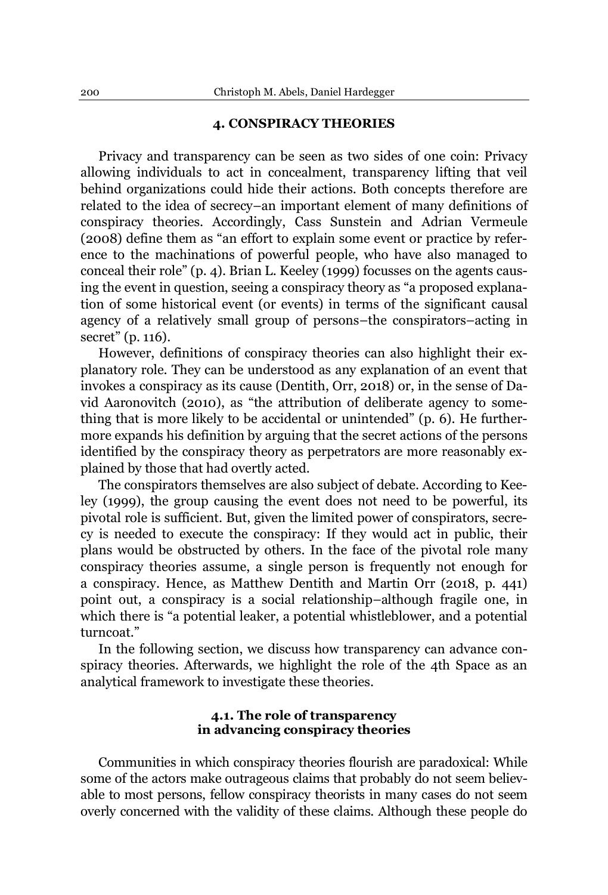## **4. CONSPIRACY THEORIES**

Privacy and transparency can be seen as two sides of one coin: Privacy allowing individuals to act in concealment, transparency lifting that veil behind organizations could hide their actions. Both concepts therefore are related to the idea of secrecy-an important element of many definitions of conspiracy theories. Accordingly, Cass Sunstein and Adrian Vermeule (2008) define them as "an effort to explain some event or practice by reference to the machinations of powerful people, who have also managed to conceal their role" (p. 4). Brian L. Keeley (1999) focusses on the agents causing the event in question, seeing a conspiracy theory as "a proposed explanation of some historical event (or events) in terms of the significant causal agency of a relatively small group of persons-the conspirators-acting in secret" (p. 116).

However, definitions of conspiracy theories can also highlight their explanatory role. They can be understood as any explanation of an event that invokes a conspiracy as its cause (Dentith, Orr, 2018) or, in the sense of David Aaronovitch (2010), as "the attribution of deliberate agency to something that is more likely to be accidental or unintended"  $(p, 6)$ . He furthermore expands his definition by arguing that the secret actions of the persons identified by the conspiracy theory as perpetrators are more reasonably explained by those that had overtly acted.

The conspirators themselves are also subject of debate. According to Keeley (1999), the group causing the event does not need to be powerful, its pivotal role is sufficient. But, given the limited power of conspirators, secrecy is needed to execute the conspiracy: If they would act in public, their plans would be obstructed by others. In the face of the pivotal role many conspiracy theories assume, a single person is frequently not enough for a conspiracy. Hence, as Matthew Dentith and Martin Orr (2018, p. 441) point out, a conspiracy is a social relationship-although fragile one, in which there is "a potential leaker, a potential whistleblower, and a potential turncoat."

In the following section, we discuss how transparency can advance conspiracy theories. Afterwards, we highlight the role of the 4th Space as an analytical framework to investigate these theories.

## **4.1. The role of transparency in advancing conspiracy theories**

Communities in which conspiracy theories flourish are paradoxical: While some of the actors make outrageous claims that probably do not seem believable to most persons, fellow conspiracy theorists in many cases do not seem overly concerned with the validity of these claims. Although these people do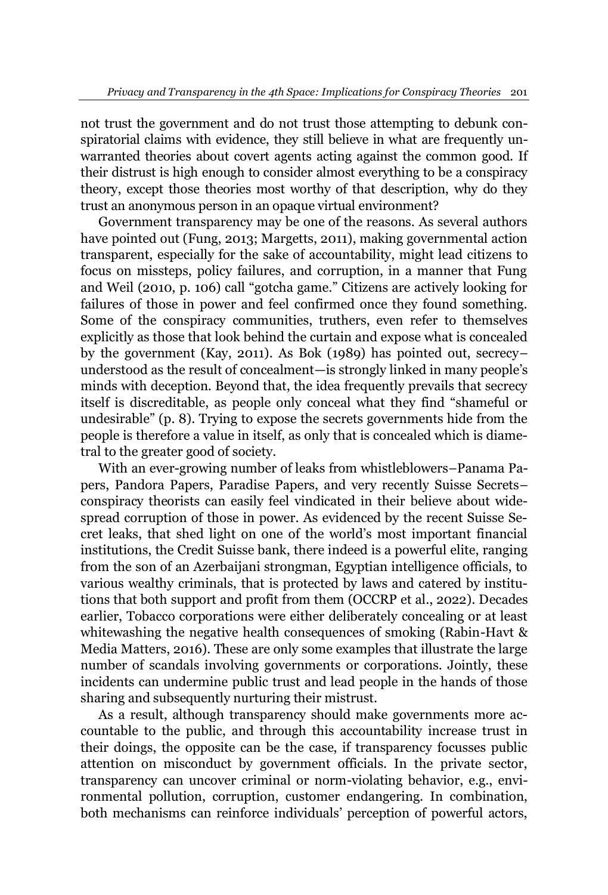not trust the government and do not trust those attempting to debunk conspiratorial claims with evidence, they still believe in what are frequently unwarranted theories about covert agents acting against the common good. If their distrust is high enough to consider almost everything to be a conspiracy theory, except those theories most worthy of that description, why do they trust an anonymous person in an opaque virtual environment?

Government transparency may be one of the reasons. As several authors have pointed out (Fung, 2013; Margetts, 2011), making governmental action transparent, especially for the sake of accountability, might lead citizens to focus on missteps, policy failures, and corruption, in a manner that Fung and Weil (2010, p. 106) call "gotcha game." Citizens are actively looking for failures of those in power and feel confirmed once they found something. Some of the conspiracy communities, truthers, even refer to themselves explicitly as those that look behind the curtain and expose what is concealed by the government (Kay, 2011). As Bok (1989) has pointed out, secrecyunderstood as the result of concealment—is strongly linked in many people's minds with deception. Beyond that, the idea frequently prevails that secrecy itself is discreditable, as people only conceal what they find "shameful or undesirable" (p. 8). Trying to expose the secrets governments hide from the people is therefore a value in itself, as only that is concealed which is diametral to the greater good of society.

With an ever-growing number of leaks from whistleblowers-Panama Papers, Pandora Papers, Paradise Papers, and very recently Suisse Secretsconspiracy theorists can easily feel vindicated in their believe about widespread corruption of those in power. As evidenced by the recent Suisse Secret leaks, that shed light on one of the world's most important financial institutions, the Credit Suisse bank, there indeed is a powerful elite, ranging from the son of an Azerbaijani strongman, Egyptian intelligence officials, to various wealthy criminals, that is protected by laws and catered by institutions that both support and profit from them (OCCRP et al., 2022). Decades earlier, Tobacco corporations were either deliberately concealing or at least whitewashing the negative health consequences of smoking (Rabin-Havt & Media Matters, 2016). These are only some examples that illustrate the large number of scandals involving governments or corporations. Jointly, these incidents can undermine public trust and lead people in the hands of those sharing and subsequently nurturing their mistrust.

As a result, although transparency should make governments more accountable to the public, and through this accountability increase trust in their doings, the opposite can be the case, if transparency focusses public attention on misconduct by government officials. In the private sector, transparency can uncover criminal or norm-violating behavior, e.g., environmental pollution, corruption, customer endangering. In combination, both mechanisms can reinforce individuals' perception of powerful actors,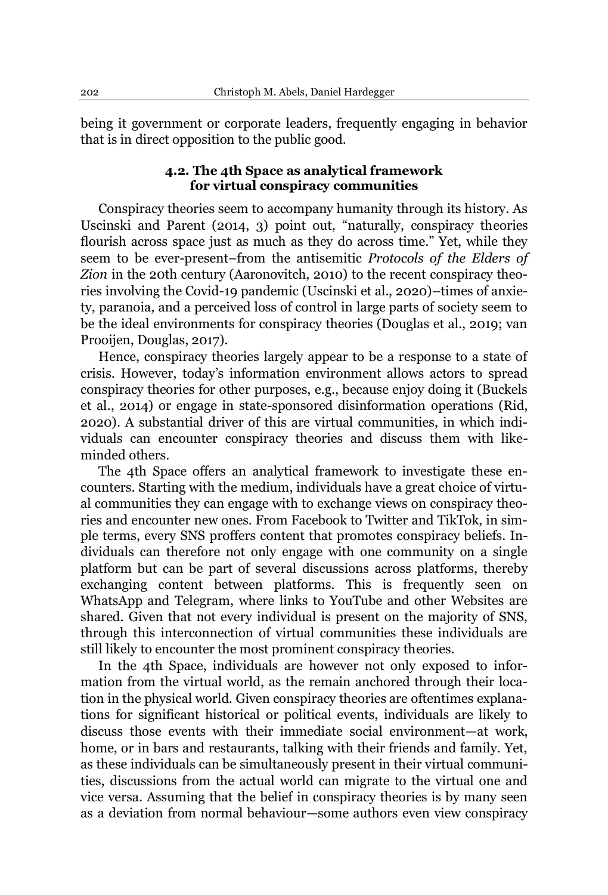being it government or corporate leaders, frequently engaging in behavior that is in direct opposition to the public good.

## **4.2. The 4th Space as analytical framework for virtual conspiracy communities**

Conspiracy theories seem to accompany humanity through its history. As Uscinski and Parent (2014, 3) point out, "naturally, conspiracy theories flourish across space just as much as they do across time." Yet, while they seem to be ever-present-from the antisemitic *Protocols of the Elders of Zion* in the 20th century (Aaronovitch, 2010) to the recent conspiracy theories involving the Covid-19 pandemic (Uscinski et al., 2020)-times of anxiety, paranoia, and a perceived loss of control in large parts of society seem to be the ideal environments for conspiracy theories (Douglas et al., 2019; van Prooijen, Douglas, 2017).

Hence, conspiracy theories largely appear to be a response to a state of crisis. However, today's information environment allows actors to spread conspiracy theories for other purposes, e.g., because enjoy doing it (Buckels et al., 2014) or engage in state-sponsored disinformation operations (Rid, 2020). A substantial driver of this are virtual communities, in which individuals can encounter conspiracy theories and discuss them with likeminded others.

The 4th Space offers an analytical framework to investigate these encounters. Starting with the medium, individuals have a great choice of virtual communities they can engage with to exchange views on conspiracy theories and encounter new ones. From Facebook to Twitter and TikTok, in simple terms, every SNS proffers content that promotes conspiracy beliefs. Individuals can therefore not only engage with one community on a single platform but can be part of several discussions across platforms, thereby exchanging content between platforms. This is frequently seen on WhatsApp and Telegram, where links to YouTube and other Websites are shared. Given that not every individual is present on the majority of SNS, through this interconnection of virtual communities these individuals are still likely to encounter the most prominent conspiracy theories.

In the 4th Space, individuals are however not only exposed to information from the virtual world, as the remain anchored through their location in the physical world. Given conspiracy theories are oftentimes explanations for significant historical or political events, individuals are likely to discuss those events with their immediate social environment—at work, home, or in bars and restaurants, talking with their friends and family. Yet, as these individuals can be simultaneously present in their virtual communities, discussions from the actual world can migrate to the virtual one and vice versa. Assuming that the belief in conspiracy theories is by many seen as a deviation from normal behaviour-some authors even view conspiracy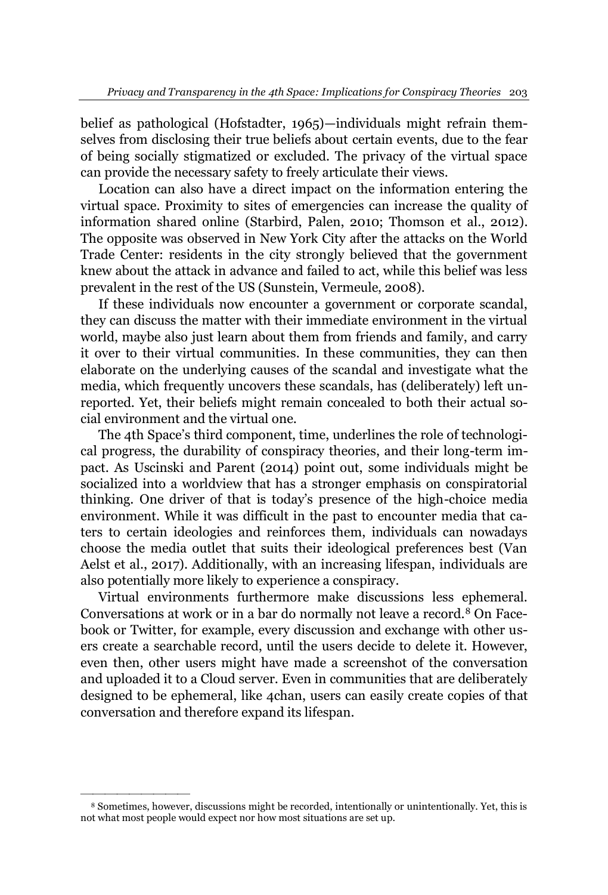belief as pathological (Hofstadter, 1965)—individuals might refrain themselves from disclosing their true beliefs about certain events, due to the fear of being socially stigmatized or excluded. The privacy of the virtual space can provide the necessary safety to freely articulate their views.

Location can also have a direct impact on the information entering the virtual space. Proximity to sites of emergencies can increase the quality of information shared online (Starbird, Palen, 2010; Thomson et al., 2012). The opposite was observed in New York City after the attacks on the World Trade Center: residents in the city strongly believed that the government knew about the attack in advance and failed to act, while this belief was less prevalent in the rest of the US (Sunstein, Vermeule, 2008).

If these individuals now encounter a government or corporate scandal, they can discuss the matter with their immediate environment in the virtual world, maybe also just learn about them from friends and family, and carry it over to their virtual communities. In these communities, they can then elaborate on the underlying causes of the scandal and investigate what the media, which frequently uncovers these scandals, has (deliberately) left unreported. Yet, their beliefs might remain concealed to both their actual social environment and the virtual one.

The 4th Space's third component, time, underlines the role of technological progress, the durability of conspiracy theories, and their long-term impact. As Uscinski and Parent (2014) point out, some individuals might be socialized into a worldview that has a stronger emphasis on conspiratorial thinking. One driver of that is today's presence of the high-choice media environment. While it was difficult in the past to encounter media that caters to certain ideologies and reinforces them, individuals can nowadays choose the media outlet that suits their ideological preferences best (Van Aelst et al., 2017). Additionally, with an increasing lifespan, individuals are also potentially more likely to experience a conspiracy.

Virtual environments furthermore make discussions less ephemeral. Conversations at work or in a bar do normally not leave a record.<sup>8</sup> On Facebook or Twitter, for example, every discussion and exchange with other users create a searchable record, until the users decide to delete it. However, even then, other users might have made a screenshot of the conversation and uploaded it to a Cloud server. Even in communities that are deliberately designed to be ephemeral, like 4chan, users can easily create copies of that conversation and therefore expand its lifespan.

<sup>8</sup> Sometimes, however, discussions might be recorded, intentionally or unintentionally. Yet, this is not what most people would expect nor how most situations are set up.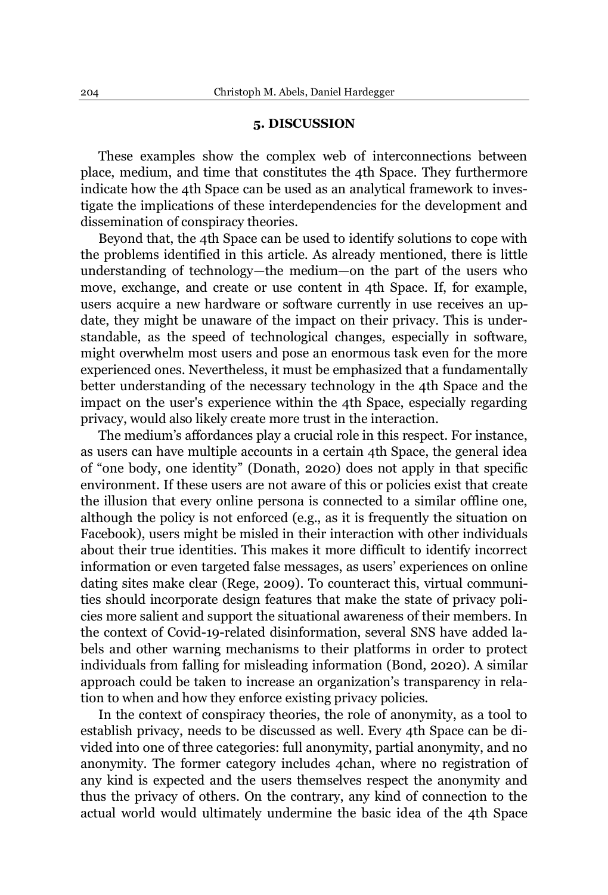### **5. DISCUSSION**

These examples show the complex web of interconnections between place, medium, and time that constitutes the 4th Space. They furthermore indicate how the 4th Space can be used as an analytical framework to investigate the implications of these interdependencies for the development and dissemination of conspiracy theories.

Beyond that, the 4th Space can be used to identify solutions to cope with the problems identified in this article. As already mentioned, there is little understanding of technology—the medium—on the part of the users who move, exchange, and create or use content in 4th Space. If, for example, users acquire a new hardware or software currently in use receives an update, they might be unaware of the impact on their privacy. This is understandable, as the speed of technological changes, especially in software, might overwhelm most users and pose an enormous task even for the more experienced ones. Nevertheless, it must be emphasized that a fundamentally better understanding of the necessary technology in the 4th Space and the impact on the user's experience within the 4th Space, especially regarding privacy, would also likely create more trust in the interaction.

The medium's affordances play a crucial role in this respect. For instance, as users can have multiple accounts in a certain 4th Space, the general idea of "one body, one identity" (Donath, 2020) does not apply in that specific environment. If these users are not aware of this or policies exist that create the illusion that every online persona is connected to a similar offline one, although the policy is not enforced (e.g., as it is frequently the situation on Facebook), users might be misled in their interaction with other individuals about their true identities. This makes it more difficult to identify incorrect information or even targeted false messages, as users' experiences on online dating sites make clear (Rege, 2009). To counteract this, virtual communities should incorporate design features that make the state of privacy policies more salient and support the situational awareness of their members. In the context of Covid-19-related disinformation, several SNS have added labels and other warning mechanisms to their platforms in order to protect individuals from falling for misleading information (Bond, 2020). A similar approach could be taken to increase an organization's transparency in relation to when and how they enforce existing privacy policies.

In the context of conspiracy theories, the role of anonymity, as a tool to establish privacy, needs to be discussed as well. Every 4th Space can be divided into one of three categories: full anonymity, partial anonymity, and no anonymity. The former category includes 4chan, where no registration of any kind is expected and the users themselves respect the anonymity and thus the privacy of others. On the contrary, any kind of connection to the actual world would ultimately undermine the basic idea of the 4th Space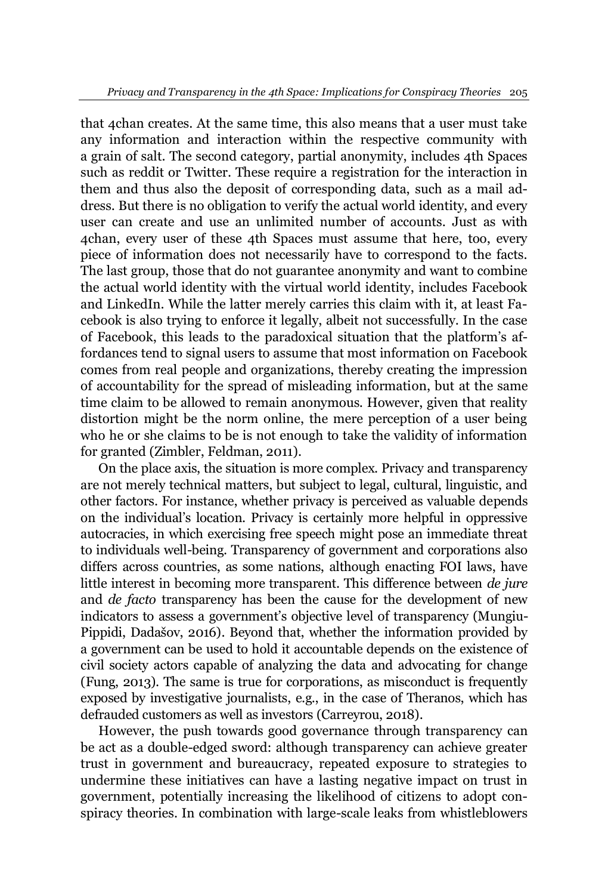that 4chan creates. At the same time, this also means that a user must take any information and interaction within the respective community with a grain of salt. The second category, partial anonymity, includes 4th Spaces such as reddit or Twitter. These require a registration for the interaction in them and thus also the deposit of corresponding data, such as a mail address. But there is no obligation to verify the actual world identity, and every user can create and use an unlimited number of accounts. Just as with 4chan, every user of these 4th Spaces must assume that here, too, every piece of information does not necessarily have to correspond to the facts. The last group, those that do not guarantee anonymity and want to combine the actual world identity with the virtual world identity, includes Facebook and LinkedIn. While the latter merely carries this claim with it, at least Facebook is also trying to enforce it legally, albeit not successfully. In the case of Facebook, this leads to the paradoxical situation that the platform's affordances tend to signal users to assume that most information on Facebook comes from real people and organizations, thereby creating the impression of accountability for the spread of misleading information, but at the same time claim to be allowed to remain anonymous. However, given that reality distortion might be the norm online, the mere perception of a user being who he or she claims to be is not enough to take the validity of information for granted (Zimbler, Feldman, 2011).

On the place axis, the situation is more complex. Privacy and transparency are not merely technical matters, but subject to legal, cultural, linguistic, and other factors. For instance, whether privacy is perceived as valuable depends on the individual's location. Privacy is certainly more helpful in oppressive autocracies, in which exercising free speech might pose an immediate threat to individuals well-being. Transparency of government and corporations also differs across countries, as some nations, although enacting FOI laws, have little interest in becoming more transparent. This difference between *de jure* and *de facto* transparency has been the cause for the development of new indicators to assess a government's objective level of transparency (Mungiu-Pippidi, Dadašov, 2016). Beyond that, whether the information provided by a government can be used to hold it accountable depends on the existence of civil society actors capable of analyzing the data and advocating for change (Fung, 2013). The same is true for corporations, as misconduct is frequently exposed by investigative journalists, e.g., in the case of Theranos, which has defrauded customers as well as investors (Carreyrou, 2018).

However, the push towards good governance through transparency can be act as a double-edged sword: although transparency can achieve greater trust in government and bureaucracy, repeated exposure to strategies to undermine these initiatives can have a lasting negative impact on trust in government, potentially increasing the likelihood of citizens to adopt conspiracy theories. In combination with large-scale leaks from whistleblowers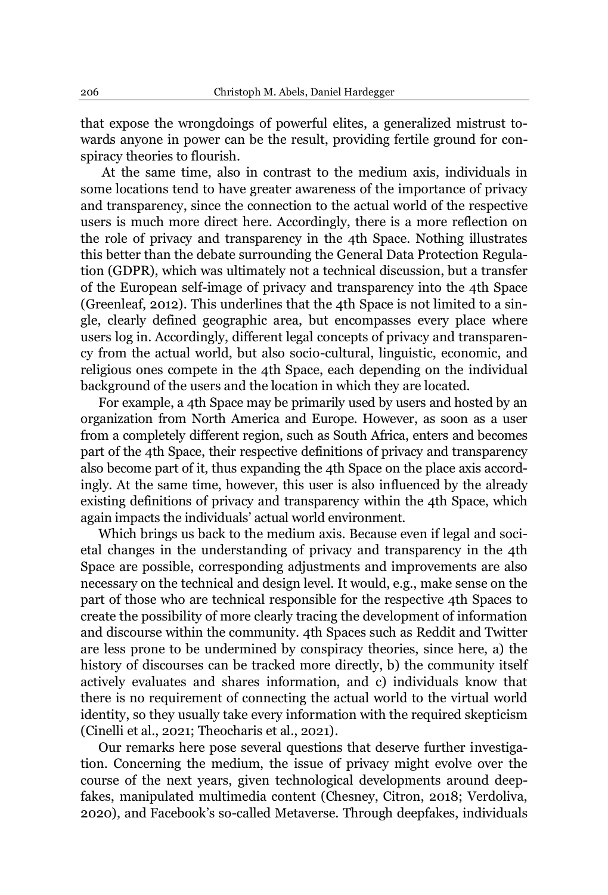that expose the wrongdoings of powerful elites, a generalized mistrust towards anyone in power can be the result, providing fertile ground for conspiracy theories to flourish.

At the same time, also in contrast to the medium axis, individuals in some locations tend to have greater awareness of the importance of privacy and transparency, since the connection to the actual world of the respective users is much more direct here. Accordingly, there is a more reflection on the role of privacy and transparency in the 4th Space. Nothing illustrates this better than the debate surrounding the General Data Protection Regulation (GDPR), which was ultimately not a technical discussion, but a transfer of the European self-image of privacy and transparency into the 4th Space (Greenleaf, 2012). This underlines that the 4th Space is not limited to a single, clearly defined geographic area, but encompasses every place where users log in. Accordingly, different legal concepts of privacy and transparency from the actual world, but also socio-cultural, linguistic, economic, and religious ones compete in the 4th Space, each depending on the individual background of the users and the location in which they are located.

For example, a 4th Space may be primarily used by users and hosted by an organization from North America and Europe. However, as soon as a user from a completely different region, such as South Africa, enters and becomes part of the 4th Space, their respective definitions of privacy and transparency also become part of it, thus expanding the 4th Space on the place axis accordingly. At the same time, however, this user is also influenced by the already existing definitions of privacy and transparency within the 4th Space, which again impacts the individuals' actual world environment.

Which brings us back to the medium axis. Because even if legal and societal changes in the understanding of privacy and transparency in the 4th Space are possible, corresponding adjustments and improvements are also necessary on the technical and design level. It would, e.g., make sense on the part of those who are technical responsible for the respective 4th Spaces to create the possibility of more clearly tracing the development of information and discourse within the community. 4th Spaces such as Reddit and Twitter are less prone to be undermined by conspiracy theories, since here, a) the history of discourses can be tracked more directly, b) the community itself actively evaluates and shares information, and c) individuals know that there is no requirement of connecting the actual world to the virtual world identity, so they usually take every information with the required skepticism (Cinelli et al., 2021; Theocharis et al., 2021).

Our remarks here pose several questions that deserve further investigation. Concerning the medium, the issue of privacy might evolve over the course of the next years, given technological developments around deepfakes, manipulated multimedia content (Chesney, Citron, 2018; Verdoliva, 2020), and Facebook's so-called Metaverse. Through deepfakes, individuals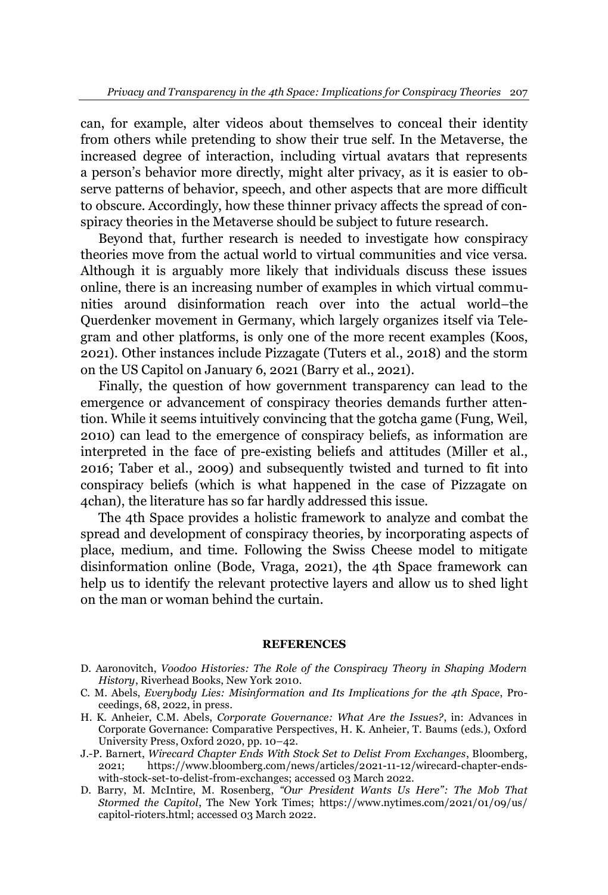can, for example, alter videos about themselves to conceal their identity from others while pretending to show their true self. In the Metaverse, the increased degree of interaction, including virtual avatars that represents a person's behavior more directly, might alter privacy, as it is easier to observe patterns of behavior, speech, and other aspects that are more difficult to obscure. Accordingly, how these thinner privacy affects the spread of conspiracy theories in the Metaverse should be subject to future research.

Beyond that, further research is needed to investigate how conspiracy theories move from the actual world to virtual communities and vice versa. Although it is arguably more likely that individuals discuss these issues online, there is an increasing number of examples in which virtual communities around disinformation reach over into the actual world-the Querdenker movement in Germany, which largely organizes itself via Telegram and other platforms, is only one of the more recent examples (Koos, 2021). Other instances include Pizzagate (Tuters et al., 2018) and the storm on the US Capitol on January 6, 2021 (Barry et al., 2021).

Finally, the question of how government transparency can lead to the emergence or advancement of conspiracy theories demands further attention. While it seems intuitively convincing that the gotcha game (Fung, Weil, 2010) can lead to the emergence of conspiracy beliefs, as information are interpreted in the face of pre-existing beliefs and attitudes (Miller et al., 2016; Taber et al., 2009) and subsequently twisted and turned to fit into conspiracy beliefs (which is what happened in the case of Pizzagate on 4chan), the literature has so far hardly addressed this issue.

The 4th Space provides a holistic framework to analyze and combat the spread and development of conspiracy theories, by incorporating aspects of place, medium, and time. Following the Swiss Cheese model to mitigate disinformation online (Bode, Vraga, 2021), the 4th Space framework can help us to identify the relevant protective layers and allow us to shed light on the man or woman behind the curtain.

### **REFERENCES**

- D. Aaronovitch, *Voodoo Histories: The Role of the Conspiracy Theory in Shaping Modern History*, Riverhead Books, New York 2010.
- C. M. Abels, *Everybody Lies: Misinformation and Its Implications for the 4th Space*, Proceedings, 68, 2022, in press.
- H. K. Anheier, C.M. Abels, *Corporate Governance: What Are the Issues?*, in: Advances in Corporate Governance: Comparative Perspectives, H. K. Anheier, T. Baums (eds.), Oxford University Press, Oxford 2020, pp. 10-42.
- J.-P. Barnert, *Wirecard Chapter Ends With Stock Set to Delist From Exchanges*, Bloomberg, 2021; https://www.bloomberg.com/news/articles/2021-11-12/wirecard-chapter-endswith-stock-set-to-delist-from-exchanges; accessed 03 March 2022.
- D. Barry, M. McIntire, M. Rosenberg, "Our President Wants Us Here": The Mob That *Stormed the Capitol*, The New York Times; [https://www.nytimes.com/2021/01/09/us/](https://www.nytimes.com/2021/01/09/us/%20capitol-rioters.html) [capitol-rioters.html;](https://www.nytimes.com/2021/01/09/us/%20capitol-rioters.html) accessed 03 March 2022.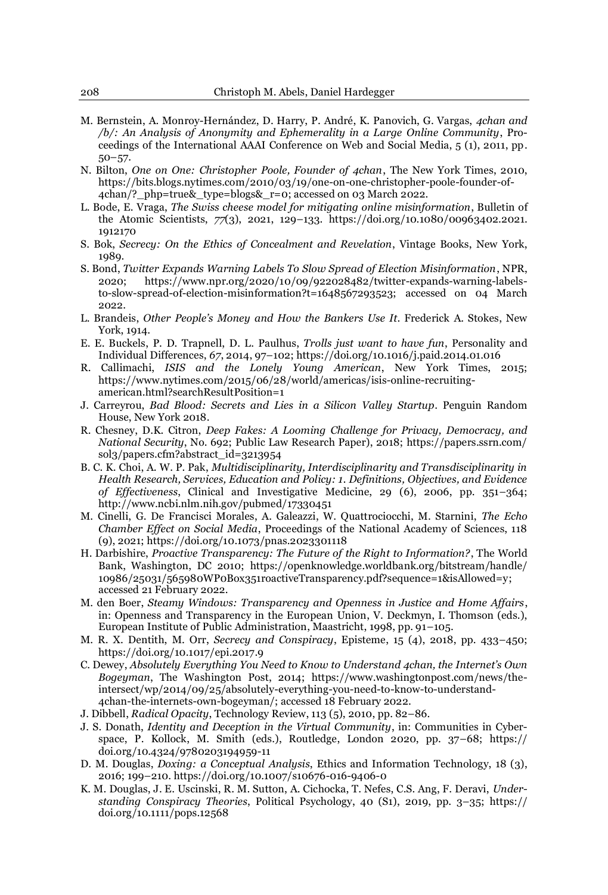- M. Bernstein, A. Monroy-Hernández, D. Harry, P. André, K. Panovich, G. Vargas, 4chan and */b/: An Analysis of Anonymity and Ephemerality in a Large Online Community*, Proceedings of the International AAAI Conference on Web and Social Media, 5 (1), 2011, pp.  $50 - 57.$
- N. Bilton, *One on One: Christopher Poole, Founder of 4chan*, The New York Times, 2010, [https://bits.blogs.nytimes.com/2010/03/19/one-on-one-christopher-poole-founder-of-](https://bits.blogs.nytimes.com/2010/03/19/one-on-one-christopher-poole-founder-of-4chan/?_php=true&_type=blogs&_r=0)[4chan/?\\_php=true&\\_type=blogs&\\_r=0;](https://bits.blogs.nytimes.com/2010/03/19/one-on-one-christopher-poole-founder-of-4chan/?_php=true&_type=blogs&_r=0) accessed on 03 March 2022.
- L. Bode, E. Vraga, *The Swiss cheese model for mitigating online misinformation*, Bulletin of the Atomic Scientists, *77*(3), 2021, 129-133. https://doi.org/10.1080/00963402.2021. 1912170
- S. Bok, *Secrecy: On the Ethics of Concealment and Revelation*, Vintage Books, New York, 1989.
- S. Bond, *Twitter Expands Warning Labels To Slow Spread of Election Misinformation*, NPR, 2020; https://www.npr.org/2020/10/09/922028482/twitter-expands-warning-labelsto-slow-spread-of-election-misinformation?t=1648567293523; accessed on 04 March 2022.
- L. Brandeis, *Other People's Money and How the Bankers Use It*. Frederick A. Stokes, New York, 1914.
- E. E. Buckels, P. D. Trapnell, D. L. Paulhus, *Trolls just want to have fun*, Personality and Individual Differences, *67*, 2014, 97±102; https://doi.org/10.1016/j.paid.2014.01.016
- R. Callimachi, *ISIS and the Lonely Young American*, New York Times, 2015; https://www.nytimes.com/2015/06/28/world/americas/isis-online-recruitingamerican.html?searchResultPosition=1
- J. Carreyrou, *Bad Blood: Secrets and Lies in a Silicon Valley Startup*. Penguin Random House, New York 2018.
- R. Chesney, D.K. Citron, *Deep Fakes: A Looming Challenge for Privacy, Democracy, and National Security*, No. 692; Public Law Research Paper), 2018; https://papers.ssrn.com/ sol3/papers.cfm?abstract\_id=3213954
- B. C. K. Choi, A. W. P. Pak, *Multidisciplinarity, Interdisciplinarity and Transdisciplinarity in Health Research, Services, Education and Policy: 1. Definitions, Objectives, and Evidence of Effectiveness*, Clinical and Investigative Medicine, 29 (6), 2006, pp. 351–364; <http://www.ncbi.nlm.nih.gov/pubmed/17330451>
- M. Cinelli, G. De Francisci Morales, A. Galeazzi, W. Quattrociocchi, M. Starnini, *The Echo Chamber Effect on Social Media*, Proceedings of the National Academy of Sciences, 118 (9), 2021; https://doi.org/10.1073/pnas.2023301118
- H. Darbishire, *Proactive Transparency: The Future of the Right to Information?*, The World Bank, Washington, DC 2010; [https://openknowledge.worldbank.org/bitstream/handle/](https://openknowledge.worldbank.org/bitstream/handle/10986/25031/565980WP0Box351roactiveTransparency.pdf?sequence=1&isAllowed=y)  [10986/25031/565980WP0Box351roactiveTransparency.pdf?sequence=1&isAllowed=y;](https://openknowledge.worldbank.org/bitstream/handle/10986/25031/565980WP0Box351roactiveTransparency.pdf?sequence=1&isAllowed=y) accessed 21 February 2022.
- M. den Boer, *Steamy Windows: Transparency and Openness in Justice and Home Affairs*, in: Openness and Transparency in the European Union, V. Deckmyn, I. Thomson (eds.), European Institute of Public Administration, Maastricht, 1998, pp. 91-105.
- M. R. X. Dentith, M. Orr, *Secrecy and Conspiracy*, Episteme, 15 (4), 2018, pp. 433-450; https://doi.org/10.1017/epi.2017.9
- C. Dewey, *Absolutely Everything You Need to Know to Understand 4chan, the Internet's Own Bogeyman*, The Washington Post, 2014; [https://www.washingtonpost.com/news/the](https://www.washingtonpost.com/news/the-intersect/wp/2014/09/25/absolutely-everything-you-need-to-know-to-understand-4chan-the-internets-own-bogeyman/)[intersect/wp/2014/09/25/absolutely-everything-you-need-to-know-to-understand-](https://www.washingtonpost.com/news/the-intersect/wp/2014/09/25/absolutely-everything-you-need-to-know-to-understand-4chan-the-internets-own-bogeyman/)[4chan-the-internets-own-bogeyman/;](https://www.washingtonpost.com/news/the-intersect/wp/2014/09/25/absolutely-everything-you-need-to-know-to-understand-4chan-the-internets-own-bogeyman/) accessed 18 February 2022.
- J. Dibbell, *Radical Opacity*, Technology Review, 113 (5), 2010, pp. 82-86.
- J. S. Donath, *Identity and Deception in the Virtual Community*, in: Communities in Cyberspace, P. Kollock, M. Smith (eds.), Routledge, London 2020, pp.  $37-68$ ; https:// doi.org/10.4324/9780203194959-11
- D. M. Douglas, *Doxing: a Conceptual Analysis*, Ethics and Information Technology, 18 (3), 2016; 199±210. https://doi.org/10.1007/s10676-016-9406-0
- K. M. Douglas, J. E. Uscinski, R. M. Sutton, A. Cichocka, T. Nefes, C.S. Ang, F. Deravi, *Understanding Conspiracy Theories*, Political Psychology, 40 (S1), 2019, pp. 3-35; https:// doi.org/10.1111/pops.12568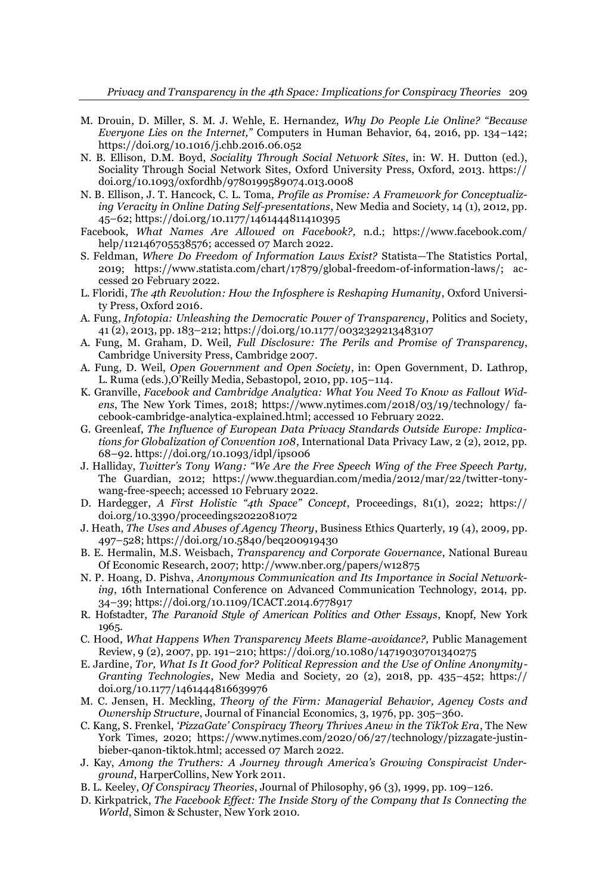- M. Drouin, D. Miller, S. M. J. Wehle, E. Hernandez, *Why Do People Lie Online? "Because Everyone Lies on the Internet,*" Computers in Human Behavior, 64, 2016, pp. 134-142; https://doi.org/10.1016/j.chb.2016.06.052
- N. B. Ellison, D.M. Boyd, *Sociality Through Social Network Sites*, in: W. H. Dutton (ed.), Sociality Through Social Network Sites, Oxford University Press, Oxford, 2013. https:// doi.org/10.1093/oxfordhb/9780199589074.013.0008
- N. B. Ellison, J. T. Hancock, C. L. Toma, *Profile as Promise: A Framework for Conceptualizing Veracity in Online Dating Self-presentations*, New Media and Society, 14 (1), 2012, pp. 45±62; https://doi.org/10.1177/1461444811410395
- Facebook, *What Names Are Allowed on Facebook?,* n.d.; [https://www.facebook.com/](https://www.facebook.com/help/112146705538576)  [help/112146705538576;](https://www.facebook.com/help/112146705538576) accessed 07 March 2022.
- S. Feldman, *Where Do Freedom of Information Laws Exist?* Statista—The Statistics Portal, 2019; [https://www.statista.com/chart/17879/global-freedom-of-information-laws/;](https://www.statista.com/chart/17879/global-freedom-of-information-laws/) accessed 20 February 2022.
- L. Floridi, *The 4th Revolution: How the Infosphere is Reshaping Humanity*, Oxford University Press, Oxford 2016.
- A. Fung, *Infotopia: Unleashing the Democratic Power of Transparency*, Politics and Society, 41 (2), 2013, pp. 183±212; https://doi.org/10.1177/0032329213483107
- A. Fung, M. Graham, D. Weil, *Full Disclosure: The Perils and Promise of Transparency*, Cambridge University Press, Cambridge 2007.
- A. Fung, D. Weil, *Open Government and Open Society*, in: Open Government, D. Lathrop, L. Ruma (eds.), O'Reilly Media, Sebastopol, 2010, pp. 105-114.
- K. Granville, *Facebook and Cambridge Analytica: What You Need To Know as Fallout Widens*, The New York Times, 2018; [https://www.nytimes.com/2018/03/19/technology/ fa](https://www.nytimes.com/2018/03/19/technology/facebook-cambridge-analytica-explained.html)[cebook-cambridge-analytica-explained.html;](https://www.nytimes.com/2018/03/19/technology/facebook-cambridge-analytica-explained.html) accessed 10 February 2022.
- G. Greenleaf, *The Influence of European Data Privacy Standards Outside Europe: Implications for Globalization of Convention 108*, International Data Privacy Law, 2 (2), 2012, pp. 68±92. https://doi.org/10.1093/idpl/ips006
- J. Halliday, *Twitter's Tony Wang: "We Are the Free Speech Wing of the Free Speech Party*, The Guardian, 2012; [https://www.theguardian.com/media/2012/mar/22/twitter-tony](https://www.theguardian.com/media/2012/mar/22/twitter-tony-wang-free-speech)[wang-free-speech;](https://www.theguardian.com/media/2012/mar/22/twitter-tony-wang-free-speech) accessed 10 February 2022.
- D. Hardegger, *A First Holistic "4th Space" Concept*, Proceedings, 81(1), 2022; https:// doi.org/10.3390/proceedings2022081072
- J. Heath, *The Uses and Abuses of Agency Theory*, Business Ethics Quarterly, 19 (4), 2009, pp. 497±528; https://doi.org/10.5840/beq200919430
- B. E. Hermalin, M.S. Weisbach, *Transparency and Corporate Governance*, National Bureau Of Economic Research, 2007; http://www.nber.org/papers/w12875
- N. P. Hoang, D. Pishva, *Anonymous Communication and Its Importance in Social Networking*, 16th International Conference on Advanced Communication Technology, 2014, pp. 34±39; https://doi.org/10.1109/ICACT.2014.6778917
- R. Hofstadter, *The Paranoid Style of American Politics and Other Essays*, Knopf, New York 1965.
- C. Hood, *What Happens When Transparency Meets Blame-avoidance?,* Public Management Review, 9 (2), 2007, pp. 191±210; https://doi.org/10.1080/14719030701340275
- E. Jardine, *Tor, What Is It Good for? Political Repression and the Use of Online Anonymity-Granting Technologies*, New Media and Society, 20  $(2)$ , 2018, pp. 435–452; https:// doi.org/10.1177/1461444816639976
- M. C. Jensen, H. Meckling, *Theory of the Firm: Managerial Behavior, Agency Costs and Ownership Structure, Journal of Financial Economics, 3, 1976, pp. 305-360.*
- C. Kang, S. Frenkel, *'PizzaGate' Conspiracy Theory Thrives Anew in the TikTok Era*, The New York Times, 2020; [https://www.nytimes.com/2020/06/27/technology/pizzagate-justin](https://www.nytimes.com/2020/06/27/technology/pizzagate-justin-bieber-qanon-tiktok.html)[bieber-qanon-tiktok.html;](https://www.nytimes.com/2020/06/27/technology/pizzagate-justin-bieber-qanon-tiktok.html) accessed 07 March 2022.
- J. Kay, Among the Truthers: A Journey through America's Growing Conspiracist Under*ground*, HarperCollins, New York 2011.
- B. L. Keeley, *Of Conspiracy Theories*, Journal of Philosophy, 96 (3), 1999, pp. 109–126.
- D. Kirkpatrick, *The Facebook Effect: The Inside Story of the Company that Is Connecting the World*, Simon & Schuster, New York 2010.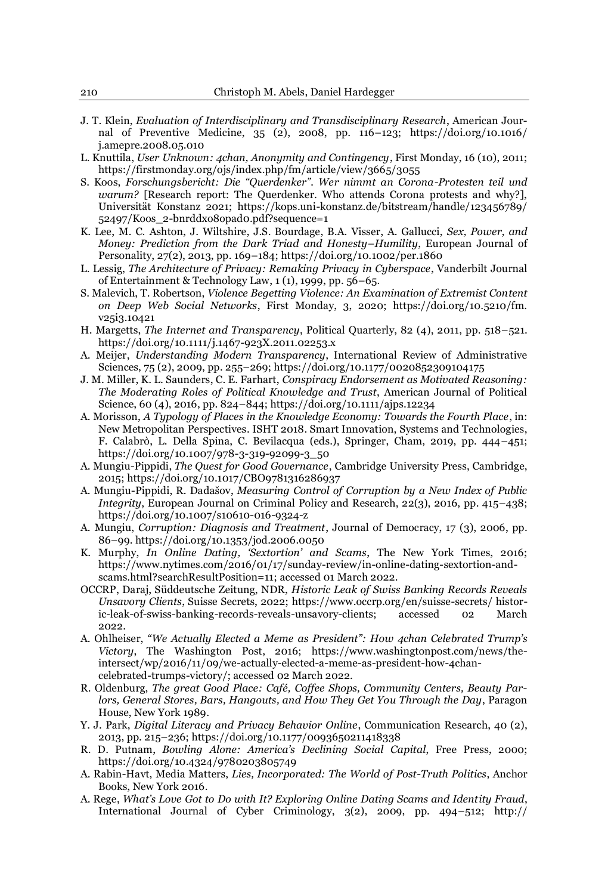- J. T. Klein, *Evaluation of Interdisciplinary and Transdisciplinary Research*, American Journal of Preventive Medicine,  $35(2)$ , 2008, pp. 116-123; https://doi.org/10.1016/ j.amepre.2008.05.010
- L. Knuttila, *User Unknown: 4chan, Anonymity and Contingency*, First Monday, 16 (10), 2011; https://firstmonday.org/ojs/index.php/fm/article/view/3665/3055
- S. Koos, *Forschungsbericht: Die "Querdenker". Wer nimmt an Corona-Protesten teil und warum?* [Research report: The Querdenker. Who attends Corona protests and why?], Universität Konstanz 2021; https://kops.uni-konstanz.de/bitstream/handle/123456789/ 52497/Koos\_2-bnrddxo8opad0.pdf?sequence=1
- K. Lee, M. C. Ashton, J. Wiltshire, J.S. Bourdage, B.A. Visser, A. Gallucci, *Sex, Power, and Money: Prediction from the Dark Triad and Honesty±Humility*, European Journal of Personality,  $27(2)$ , 2013, pp. 169 $-184$ ; https://doi.org/10.1002/per.1860
- L. Lessig, *The Architecture of Privacy: Remaking Privacy in Cyberspace*, Vanderbilt Journal of Entertainment & Technology Law,  $1(1)$ , 1999, pp. 56-65.
- S. Malevich, T. Robertson, *Violence Begetting Violence: An Examination of Extremist Content on Deep Web Social Networks*, First Monday, 3, 2020; https://doi.org/10.5210/fm. v25i3.10421
- H. Margetts, *The Internet and Transparency*, Political Quarterly, 82 (4), 2011, pp. 518–521. https://doi.org/10.1111/j.1467-923X.2011.02253.x
- A. Meijer, *Understanding Modern Transparency*, International Review of Administrative Sciences, 75 (2), 2009, pp. 255-269; https://doi.org/10.1177/0020852309104175
- J. M. Miller, K. L. Saunders, C. E. Farhart, *Conspiracy Endorsement as Motivated Reasoning: The Moderating Roles of Political Knowledge and Trust*, American Journal of Political Science, 60 (4), 2016, pp. 824-844; https://doi.org/10.1111/ajps.12234
- A. Morisson, *A Typology of Places in the Knowledge Economy: Towards the Fourth Place*, in: New Metropolitan Perspectives. ISHT 2018. Smart Innovation, Systems and Technologies, F. Calabrò, L. Della Spina, C. Bevilacqua (eds.), Springer, Cham, 2019, pp. 444-451; https://doi.org/10.1007/978-3-319-92099-3\_50
- A. Mungiu-Pippidi, *The Quest for Good Governance*, Cambridge University Press, Cambridge, 2015;<https://doi.org/10.1017/CBO9781316286937>
- A. Mungiu-Pippidi, R. Dadašov, *Measuring Control of Corruption by a New Index of Public Integrity*, European Journal on Criminal Policy and Research, 22(3), 2016, pp. 415-438; https://doi.org/10.1007/s10610-016-9324-z
- A. Mungiu, *Corruption: Diagnosis and Treatment*, Journal of Democracy, 17 (3), 2006, pp. 86±99. https://doi.org/10.1353/jod.2006.0050
- K. Murphy, *In Online Dating, 'Sextortion' and Scams*, The New York Times, 2016; [https://www.nytimes.com/2016/01/17/sunday-review/in-online-dating-sextortion-and](https://www.nytimes.com/2016/01/17/sunday-review/in-online-dating-sextortion-and-scams.html?searchResultPosition=11)[scams.html?searchResultPosition=11;](https://www.nytimes.com/2016/01/17/sunday-review/in-online-dating-sextortion-and-scams.html?searchResultPosition=11) accessed 01 March 2022.
- 2&&53'DUDM6GGHXWVFKH=HLWXQJ1'5*Historic Leak of Swiss Banking Records Reveals Unsavory Clients*, Suisse Secrets, 2022; [https://www.occrp.org/en/suisse-secrets/ histor](https://www.occrp.org/en/suisse-secrets/historic-leak-of-swiss-banking-records-reveals-unsavory-clients)[ic-leak-of-swiss-banking-records-reveals-unsavory-clients;](https://www.occrp.org/en/suisse-secrets/historic-leak-of-swiss-banking-records-reveals-unsavory-clients) accessed 02 March 2022.
- A. Ohlheiser, "We Actually Elected a Meme as President": How 4chan Celebrated Trump's *Victory*, The Washington Post, 2016; [https://www.washingtonpost.com/news/the](https://www.washingtonpost.com/news/the-intersect/wp/2016/11/09/we-actually-elected-a-meme-as-president-how-4chan-celebrated-trumps-victory/)[intersect/wp/2016/11/09/we-actually-elected-a-meme-as-president-how-4chan](https://www.washingtonpost.com/news/the-intersect/wp/2016/11/09/we-actually-elected-a-meme-as-president-how-4chan-celebrated-trumps-victory/)[celebrated-trumps-victory/;](https://www.washingtonpost.com/news/the-intersect/wp/2016/11/09/we-actually-elected-a-meme-as-president-how-4chan-celebrated-trumps-victory/) accessed 02 March 2022.
- R. Oldenburg, *The great Good Place: Café, Coffee Shops, Community Centers, Beauty Parlors, General Stores, Bars, Hangouts, and How They Get You Through the Day*, Paragon House, New York 1989.
- Y. J. Park, *Digital Literacy and Privacy Behavior Online*, Communication Research, 40 (2), 2013, pp. 215±236; https://doi.org/10.1177/0093650211418338
- R. D. Putnam, *Bowling Alone: America's Declining Social Capital*, Free Press, 2000; https://doi.org/10.4324/9780203805749
- A. Rabin-Havt, Media Matters, *Lies, Incorporated: The World of Post-Truth Politics*, Anchor Books, New York 2016.
- A. Rege, What's Love Got to Do with It? Exploring Online Dating Scams and Identity Fraud, International Journal of Cyber Criminology,  $3(2)$ , 2009, pp. 494 $-512$ ; http://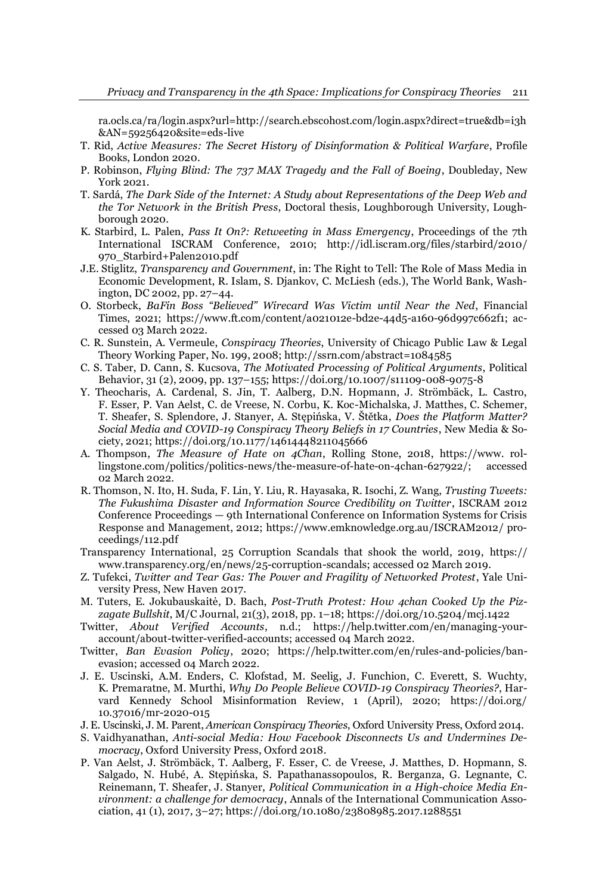ra.ocls.ca/ra/login.aspx?url=http://search.ebscohost.com/login.aspx?direct=true&db=i3h &AN=59256420&site=eds-live

- T. Rid, *Active Measures: The Secret History of Disinformation & Political Warfare*, Profile Books, London 2020.
- P. Robinson, *Flying Blind: The 737 MAX Tragedy and the Fall of Boeing*, Doubleday, New York 2021.
- T. Sardá, *The Dark Side of the Internet: A Study about Representations of the Deep Web and the Tor Network in the British Press*, Doctoral thesis, Loughborough University, Loughborough 2020.
- K. Starbird, L. Palen, *Pass It On?: Retweeting in Mass Emergency*, Proceedings of the 7th International ISCRAM Conference, 2010; http://idl.iscram.org/files/starbird/2010/ 970\_Starbird+Palen2010.pdf
- J.E. Stiglitz, *Transparency and Government*, in: The Right to Tell: The Role of Mass Media in Economic Development, R. Islam, S. Djankov, C. McLiesh (eds.), The World Bank, Washington, DC 2002, pp. 27-44.
- O. Storbeck, *BaFin Boss "Believed" Wirecard Was Victim until Near the Ned*, Financial Times, 2021; [https://www.ft.com/content/a021012e-bd2e-44d5-a160-96d997c662f1;](https://www.ft.com/content/a021012e-bd2e-44d5-a160-96d997c662f1) accessed 03 March 2022.
- C. R. Sunstein, A. Vermeule, *Conspiracy Theories*, University of Chicago Public Law & Legal Theory Working Paper, No. 199, 2008; http://ssrn.com/abstract=1084585
- C. S. Taber, D. Cann, S. Kucsova, *The Motivated Processing of Political Arguments*, Political Behavior, 31 (2), 2009, pp. 137±155; https://doi.org/10.1007/s11109-008-9075-8
- Y. Theocharis, A. Cardenal, S. Jin, T. Aalberg, D.N. Hopmann, J. Strömbäck, L. Castro, F. Esser, P. Van Aelst, C. de Vreese, N. Corbu, K. Koc-Michalska, J. Matthes, C. Schemer, T. Sheafer, S. Splendore, J. Stanyer, A. Stepińska, V. Štětka, *Does the Platform Matter? Social Media and COVID-19 Conspiracy Theory Beliefs in 17 Countries*, New Media & Society, 2021; https://doi.org/10.1177/14614448211045666
- A. Thompson, *The Measure of Hate on 4Chan*, Rolling Stone, 2018, [https://www. rol](https://www.rollingstone.com/politics/politics-news/the-measure-of-hate-on-4chan-627922/)[lingstone.com/politics/politics-news/the-measure-of-hate-on-4chan-627922/;](https://www.rollingstone.com/politics/politics-news/the-measure-of-hate-on-4chan-627922/) accessed 02 March 2022.
- R. Thomson, N. Ito, H. Suda, F. Lin, Y. Liu, R. Hayasaka, R. Isochi, Z. Wang, *Trusting Tweets: The Fukushima Disaster and Information Source Credibility on Twitter*, ISCRAM 2012 Conference Proceedings — 9th International Conference on Information Systems for Crisis Response and Management, 2012; https://www.emknowledge.org.au/ISCRAM2012/ proceedings/112.pdf
- Transparency International, 25 Corruption Scandals that shook the world, 2019, [https://](https://www.transparency.org/en/news/25-corruption-scandals)  [www.transparency.org/en/news/25-corruption-scandals;](https://www.transparency.org/en/news/25-corruption-scandals) accessed 02 March 2019.
- Z. Tufekci, *Twitter and Tear Gas: The Power and Fragility of Networked Protest*, Yale University Press, New Haven 2017.
- M. Tuters, E. Jokubauskaitė, D. Bach, Post-Truth Protest: How 4chan Cooked Up the Piz*zagate Bullshit*, M/C Journal, 21(3), 2018, pp. 1±18; https://doi.org/10.5204/mcj.1422
- Twitter, *About Verified Accounts*, n.d.; [https://help.twitter.com/en/managing-your](https://help.twitter.com/en/managing-your-account/about-twitter-verified-accounts)[account/about-twitter-verified-accounts;](https://help.twitter.com/en/managing-your-account/about-twitter-verified-accounts) accessed 04 March 2022.
- Twitter, *Ban Evasion Policy*, 2020; [https://help.twitter.com/en/rules-and-policies/ban](https://help.twitter.com/en/rules-and-policies/ban-evasion)[evasion;](https://help.twitter.com/en/rules-and-policies/ban-evasion) accessed 04 March 2022.
- J. E. Uscinski, A.M. Enders, C. Klofstad, M. Seelig, J. Funchion, C. Everett, S. Wuchty, K. Premaratne, M. Murthi, *Why Do People Believe COVID-19 Conspiracy Theories?*, Harvard Kennedy School Misinformation Review, 1 (April), 2020; https://doi.org/ 10.37016/mr-2020-015
- J. E. Uscinski, J. M. Parent, *American Conspiracy Theories*, Oxford University Press, Oxford 2014.
- S. Vaidhyanathan, *Anti-social Media: How Facebook Disconnects Us and Undermines Democracy*, Oxford University Press, Oxford 2018.
- P. Van Aelst, J. Strömbäck, T. Aalberg, F. Esser, C. de Vreese, J. Matthes, D. Hopmann, S. Salgado, N. Hubé, A. Stepińska, S. Papathanassopoulos, R. Berganza, G. Legnante, C. Reinemann, T. Sheafer, J. Stanyer, *Political Communication in a High-choice Media Environment: a challenge for democracy*, Annals of the International Communication Association, 41 (1), 2017, 3-27; https://doi.org/10.1080/23808985.2017.1288551